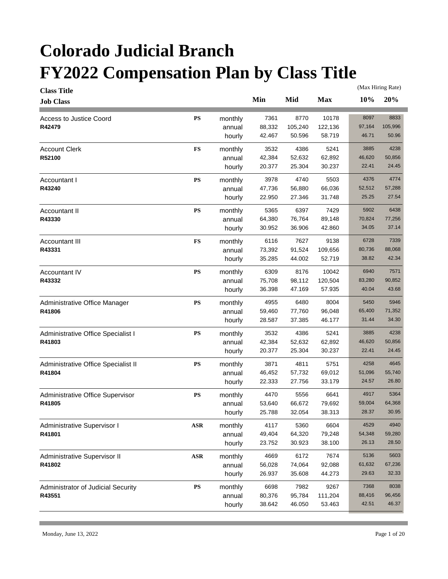| <b>Class Title</b>                  |            |         |        |         |            |        | (Max Hiring Rate) |
|-------------------------------------|------------|---------|--------|---------|------------|--------|-------------------|
| <b>Job Class</b>                    |            |         | Min    | Mid     | <b>Max</b> | 10%    | 20%               |
| Access to Justice Coord             | <b>PS</b>  | monthly | 7361   | 8770    | 10178      | 8097   | 8833              |
| R42479                              |            | annual  | 88,332 | 105,240 | 122,136    | 97,164 | 105,996           |
|                                     |            | hourly  | 42.467 | 50.596  | 58.719     | 46.71  | 50.96             |
| <b>Account Clerk</b>                | <b>FS</b>  | monthly | 3532   | 4386    | 5241       | 3885   | 4238              |
| R52100                              |            | annual  | 42,384 | 52,632  | 62,892     | 46,620 | 50,856            |
|                                     |            | hourly  | 20.377 | 25.304  | 30.237     | 22.41  | 24.45             |
| Accountant I                        | <b>PS</b>  | monthly | 3978   | 4740    | 5503       | 4376   | 4774              |
| R43240                              |            | annual  | 47,736 | 56,880  | 66,036     | 52,512 | 57,288            |
|                                     |            | hourly  | 22.950 | 27.346  | 31.748     | 25.25  | 27.54             |
| Accountant II                       | <b>PS</b>  | monthly | 5365   | 6397    | 7429       | 5902   | 6438              |
| R43330                              |            | annual  | 64,380 | 76,764  | 89,148     | 70,824 | 77,256            |
|                                     |            | hourly  | 30.952 | 36.906  | 42.860     | 34.05  | 37.14             |
|                                     |            |         |        |         |            |        |                   |
| Accountant III                      | <b>FS</b>  | monthly | 6116   | 7627    | 9138       | 6728   | 7339              |
| R43331                              |            | annual  | 73,392 | 91,524  | 109,656    | 80,736 | 88,068            |
|                                     |            | hourly  | 35.285 | 44.002  | 52.719     | 38.82  | 42.34             |
| Accountant IV                       | <b>PS</b>  | monthly | 6309   | 8176    | 10042      | 6940   | 7571              |
| R43332                              |            | annual  | 75,708 | 98,112  | 120,504    | 83,280 | 90,852            |
|                                     |            | hourly  | 36.398 | 47.169  | 57.935     | 40.04  | 43.68             |
| Administrative Office Manager       | <b>PS</b>  | monthly | 4955   | 6480    | 8004       | 5450   | 5946              |
| R41806                              |            | annual  | 59,460 | 77,760  | 96,048     | 65,400 | 71,352            |
|                                     |            | hourly  | 28.587 | 37.385  | 46.177     | 31.44  | 34.30             |
| Administrative Office Specialist I  | <b>PS</b>  | monthly | 3532   | 4386    | 5241       | 3885   | 4238              |
| R41803                              |            | annual  | 42,384 | 52,632  | 62,892     | 46,620 | 50,856            |
|                                     |            | hourly  | 20.377 | 25.304  | 30.237     | 22.41  | 24.45             |
| Administrative Office Specialist II | <b>PS</b>  | monthly | 3871   | 4811    | 5751       | 4258   | 4645              |
| R41804                              |            | annual  | 46,452 | 57,732  | 69,012     | 51,096 | 55,740            |
|                                     |            | hourly  | 22.333 | 27.756  | 33.179     | 24.57  | 26.80             |
| Administrative Office Supervisor    | <b>PS</b>  | monthly | 4470   | 5556    | 6641       | 4917   | 5364              |
| R41805                              |            | annual  | 53,640 | 66,672  | 79,692     | 59,004 | 64,368            |
|                                     |            | hourly  | 25.788 | 32.054  | 38.313     | 28.37  | 30.95             |
| Administrative Supervisor I         | ASR        | monthly | 4117   | 5360    | 6604       | 4529   | 4940              |
| R41801                              |            | annual  | 49,404 | 64,320  | 79,248     | 54,348 | 59,280            |
|                                     |            | hourly  | 23.752 | 30.923  | 38.100     | 26.13  | 28.50             |
| Administrative Supervisor II        | <b>ASR</b> | monthly | 4669   | 6172    | 7674       | 5136   | 5603              |
| R41802                              |            | annual  | 56,028 | 74,064  | 92,088     | 61,632 | 67,236            |
|                                     |            | hourly  | 26.937 | 35.608  | 44.273     | 29.63  | 32.33             |
|                                     |            |         |        |         |            |        |                   |
| Administrator of Judicial Security  | <b>PS</b>  | monthly | 6698   | 7982    | 9267       | 7368   | 8038              |
| R43551                              |            | annual  | 80,376 | 95,784  | 111,204    | 88,416 | 96,456            |
|                                     |            | hourly  | 38.642 | 46.050  | 53.463     | 42.51  | 46.37             |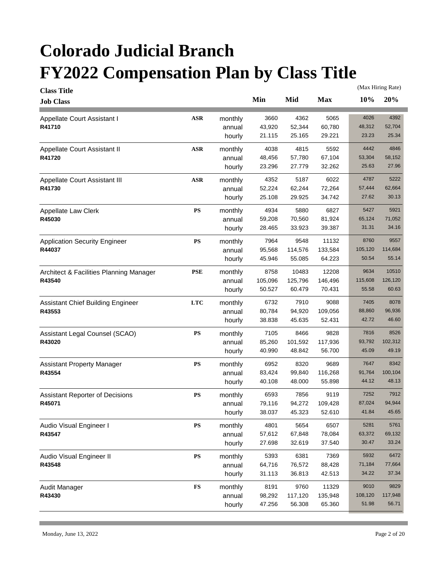| <b>Class Title</b>                      |               |         |         |         |            |         | (Max Hiring Rate) |
|-----------------------------------------|---------------|---------|---------|---------|------------|---------|-------------------|
| <b>Job Class</b>                        |               |         | Min     | Mid     | <b>Max</b> | 10%     | 20%               |
| Appellate Court Assistant I             | $\bf ASR$     | monthly | 3660    | 4362    | 5065       | 4026    | 4392              |
| R41710                                  |               | annual  | 43,920  | 52,344  | 60,780     | 48,312  | 52,704            |
|                                         |               | hourly  | 21.115  | 25.165  | 29.221     | 23.23   | 25.34             |
| Appellate Court Assistant II            | <b>ASR</b>    | monthly | 4038    | 4815    | 5592       | 4442    | 4846              |
| R41720                                  |               | annual  | 48,456  | 57,780  | 67,104     | 53,304  | 58,152            |
|                                         |               | hourly  | 23.296  | 27.779  | 32.262     | 25.63   | 27.96             |
| Appellate Court Assistant III           | <b>ASR</b>    | monthly | 4352    | 5187    | 6022       | 4787    | 5222              |
| R41730                                  |               | annual  | 52,224  | 62,244  | 72,264     | 57,444  | 62,664            |
|                                         |               | hourly  | 25.108  | 29.925  | 34.742     | 27.62   | 30.13             |
| Appellate Law Clerk                     | $\mathbf{PS}$ | monthly | 4934    | 5880    | 6827       | 5427    | 5921              |
| R45030                                  |               | annual  | 59,208  | 70,560  | 81,924     | 65,124  | 71,052            |
|                                         |               | hourly  | 28.465  | 33.923  | 39.387     | 31.31   | 34.16             |
| <b>Application Security Engineer</b>    | PS            | monthly | 7964    | 9548    | 11132      | 8760    | 9557              |
| R44037                                  |               | annual  | 95,568  | 114,576 | 133,584    | 105,120 | 114,684           |
|                                         |               | hourly  | 45.946  | 55.085  | 64.223     | 50.54   | 55.14             |
| Architect & Facilities Planning Manager | <b>PSE</b>    | monthly | 8758    | 10483   | 12208      | 9634    | 10510             |
| R43540                                  |               | annual  | 105,096 | 125,796 | 146,496    | 115,608 | 126,120           |
|                                         |               | hourly  | 50.527  | 60.479  | 70.431     | 55.58   | 60.63             |
| Assistant Chief Building Engineer       | <b>LTC</b>    | monthly | 6732    | 7910    | 9088       | 7405    | 8078              |
| R43553                                  |               | annual  | 80,784  | 94,920  | 109,056    | 88,860  | 96,936            |
|                                         |               | hourly  | 38.838  | 45.635  | 52.431     | 42.72   | 46.60             |
| Assistant Legal Counsel (SCAO)          | $\mathbf{PS}$ | monthly | 7105    | 8466    | 9828       | 7816    | 8526              |
| R43020                                  |               | annual  | 85,260  | 101,592 | 117,936    | 93,792  | 102,312           |
|                                         |               | hourly  | 40.990  | 48.842  | 56.700     | 45.09   | 49.19             |
| <b>Assistant Property Manager</b>       | $\mathbf{PS}$ | monthly | 6952    | 8320    | 9689       | 7647    | 8342              |
| R43554                                  |               | annual  | 83,424  | 99,840  | 116,268    | 91,764  | 100,104           |
|                                         |               | hourly  | 40.108  | 48.000  | 55.898     | 44.12   | 48.13             |
| Assistant Reporter of Decisions         | $\mathbf{PS}$ | monthly | 6593    | 7856    | 9119       | 7252    | 7912              |
| R45071                                  |               | annual  | 79,116  | 94,272  | 109,428    | 87,024  | 94,944            |
|                                         |               | hourly  | 38.037  | 45.323  | 52.610     | 41.84   | 45.65             |
| Audio Visual Engineer I                 | PS            | monthly | 4801    | 5654    | 6507       | 5281    | 5761              |
| R43547                                  |               | annual  | 57,612  | 67,848  | 78,084     | 63,372  | 69,132            |
|                                         |               | hourly  | 27.698  | 32.619  | 37.540     | 30.47   | 33.24             |
| Audio Visual Engineer II                | ${\bf PS}$    | monthly | 5393    | 6381    | 7369       | 5932    | 6472              |
| R43548                                  |               | annual  | 64,716  | 76,572  | 88,428     | 71,184  | 77,664            |
|                                         |               | hourly  | 31.113  | 36.813  | 42.513     | 34.22   | 37.34             |
| Audit Manager                           | $\mathbf{FS}$ | monthly | 8191    | 9760    | 11329      | 9010    | 9829              |
| R43430                                  |               | annual  | 98,292  | 117,120 | 135,948    | 108,120 | 117,948           |
|                                         |               | hourly  | 47.256  | 56.308  | 65.360     | 51.98   | 56.71             |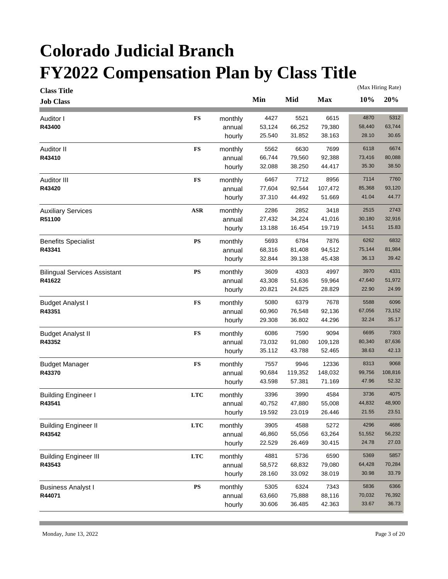| <b>Class Title</b>                  |               |         |        |         |            |        | (Max Hiring Rate) |
|-------------------------------------|---------------|---------|--------|---------|------------|--------|-------------------|
| <b>Job Class</b>                    |               |         | Min    | Mid     | <b>Max</b> | 10%    | 20%               |
| Auditor I                           | <b>FS</b>     | monthly | 4427   | 5521    | 6615       | 4870   | 5312              |
| R43400                              |               | annual  | 53,124 | 66,252  | 79,380     | 58,440 | 63,744            |
|                                     |               | hourly  | 25.540 | 31.852  | 38.163     | 28.10  | 30.65             |
| Auditor II                          | <b>FS</b>     | monthly | 5562   | 6630    | 7699       | 6118   | 6674              |
| R43410                              |               | annual  | 66,744 | 79,560  | 92,388     | 73,416 | 80,088            |
|                                     |               | hourly  | 32.088 | 38.250  | 44.417     | 35.30  | 38.50             |
| Auditor III                         | <b>FS</b>     | monthly | 6467   | 7712    | 8956       | 7114   | 7760              |
| R43420                              |               | annual  | 77,604 | 92,544  | 107,472    | 85,368 | 93,120            |
|                                     |               | hourly  | 37.310 | 44.492  | 51.669     | 41.04  | 44.77             |
| <b>Auxiliary Services</b>           | $\bf ASR$     | monthly | 2286   | 2852    | 3418       | 2515   | 2743              |
| R51100                              |               | annual  | 27,432 | 34,224  | 41,016     | 30,180 | 32,916            |
|                                     |               | hourly  | 13.188 | 16.454  | 19.719     | 14.51  | 15.83             |
| <b>Benefits Specialist</b>          | $\mathbf{PS}$ | monthly | 5693   | 6784    | 7876       | 6262   | 6832              |
| R43341                              |               | annual  | 68,316 | 81,408  | 94,512     | 75,144 | 81,984            |
|                                     |               | hourly  | 32.844 | 39.138  | 45.438     | 36.13  | 39.42             |
| <b>Bilingual Services Assistant</b> | $\mathbf{PS}$ | monthly | 3609   | 4303    | 4997       | 3970   | 4331              |
| R41622                              |               | annual  | 43,308 | 51,636  | 59,964     | 47,640 | 51,972            |
|                                     |               | hourly  | 20.821 | 24.825  | 28.829     | 22.90  | 24.99             |
| <b>Budget Analyst I</b>             | <b>FS</b>     | monthly | 5080   | 6379    | 7678       | 5588   | 6096              |
| R43351                              |               | annual  | 60,960 | 76,548  | 92,136     | 67,056 | 73,152            |
|                                     |               | hourly  | 29.308 | 36.802  | 44.296     | 32.24  | 35.17             |
| <b>Budget Analyst II</b>            | <b>FS</b>     | monthly | 6086   | 7590    | 9094       | 6695   | 7303              |
| R43352                              |               | annual  | 73,032 | 91,080  | 109,128    | 80,340 | 87,636            |
|                                     |               | hourly  | 35.112 | 43.788  | 52.465     | 38.63  | 42.13             |
| <b>Budget Manager</b>               | <b>FS</b>     | monthly | 7557   | 9946    | 12336      | 8313   | 9068              |
| R43370                              |               | annual  | 90,684 | 119,352 | 148,032    | 99,756 | 108,816           |
|                                     |               | hourly  | 43.598 | 57.381  | 71.169     | 47.96  | 52.32             |
| <b>Building Engineer I</b>          | <b>LTC</b>    | monthly | 3396   | 3990    | 4584       | 3736   | 4075              |
| R43541                              |               | annual  | 40,752 | 47,880  | 55,008     | 44,832 | 48,900            |
|                                     |               | hourly  | 19.592 | 23.019  | 26.446     | 21.55  | 23.51             |
| <b>Building Engineer II</b>         | <b>LTC</b>    | monthly | 3905   | 4588    | 5272       | 4296   | 4686              |
| R43542                              |               | annual  | 46,860 | 55,056  | 63,264     | 51,552 | 56,232            |
|                                     |               | hourly  | 22.529 | 26.469  | 30.415     | 24.78  | 27.03             |
| <b>Building Engineer III</b>        | <b>LTC</b>    | monthly | 4881   | 5736    | 6590       | 5369   | 5857              |
| R43543                              |               | annual  | 58,572 | 68,832  | 79,080     | 64,428 | 70,284            |
|                                     |               | hourly  | 28.160 | 33.092  | 38.019     | 30.98  | 33.79             |
| <b>Business Analyst I</b>           | ${\bf PS}$    | monthly | 5305   | 6324    | 7343       | 5836   | 6366              |
| R44071                              |               | annual  | 63,660 | 75,888  | 88,116     | 70,032 | 76,392            |
|                                     |               | hourly  | 30.606 | 36.485  | 42.363     | 33.67  | 36.73             |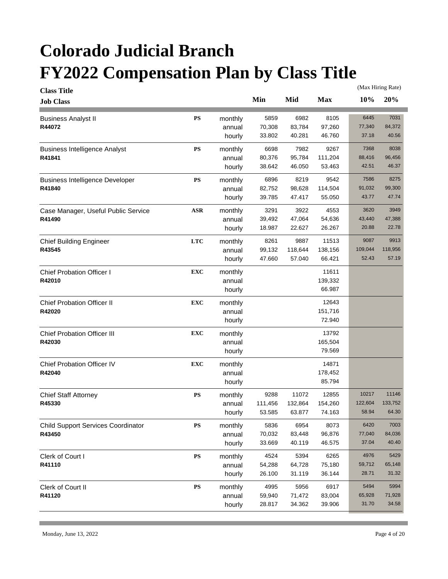| <b>Class Title</b>                        |               |         |         |         |            |         | (Max Hiring Rate) |
|-------------------------------------------|---------------|---------|---------|---------|------------|---------|-------------------|
| <b>Job Class</b>                          |               |         | Min     | Mid     | <b>Max</b> | 10%     | 20%               |
| <b>Business Analyst II</b>                | ${\bf PS}$    | monthly | 5859    | 6982    | 8105       | 6445    | 7031              |
| R44072                                    |               | annual  | 70,308  | 83,784  | 97,260     | 77,340  | 84,372            |
|                                           |               | hourly  | 33.802  | 40.281  | 46.760     | 37.18   | 40.56             |
| <b>Business Intelligence Analyst</b>      | ${\bf PS}$    | monthly | 6698    | 7982    | 9267       | 7368    | 8038              |
| R41841                                    |               | annual  | 80,376  | 95,784  | 111,204    | 88,416  | 96,456            |
|                                           |               | hourly  | 38.642  | 46.050  | 53.463     | 42.51   | 46.37             |
| <b>Business Intelligence Developer</b>    | $\mathbf{PS}$ | monthly | 6896    | 8219    | 9542       | 7586    | 8275              |
| R41840                                    |               | annual  | 82,752  | 98,628  | 114,504    | 91,032  | 99,300            |
|                                           |               | hourly  | 39.785  | 47.417  | 55.050     | 43.77   | 47.74             |
| Case Manager, Useful Public Service       | <b>ASR</b>    | monthly | 3291    | 3922    | 4553       | 3620    | 3949              |
| R41490                                    |               | annual  | 39,492  | 47,064  | 54,636     | 43,440  | 47,388            |
|                                           |               | hourly  | 18.987  | 22.627  | 26.267     | 20.88   | 22.78             |
| <b>Chief Building Engineer</b>            | <b>LTC</b>    | monthly | 8261    | 9887    | 11513      | 9087    | 9913              |
| R43545                                    |               | annual  | 99,132  | 118,644 | 138,156    | 109,044 | 118,956           |
|                                           |               | hourly  | 47.660  | 57.040  | 66.421     | 52.43   | 57.19             |
| <b>Chief Probation Officer I</b>          | <b>EXC</b>    | monthly |         |         | 11611      |         |                   |
| R42010                                    |               | annual  |         |         | 139,332    |         |                   |
|                                           |               | hourly  |         |         | 66.987     |         |                   |
| <b>Chief Probation Officer II</b>         | <b>EXC</b>    | monthly |         |         | 12643      |         |                   |
| R42020                                    |               | annual  |         |         | 151,716    |         |                   |
|                                           |               | hourly  |         |         | 72.940     |         |                   |
| <b>Chief Probation Officer III</b>        | <b>EXC</b>    | monthly |         |         | 13792      |         |                   |
| R42030                                    |               | annual  |         |         | 165,504    |         |                   |
|                                           |               | hourly  |         |         | 79.569     |         |                   |
| <b>Chief Probation Officer IV</b>         | <b>EXC</b>    | monthly |         |         | 14871      |         |                   |
| R42040                                    |               | annual  |         |         | 178,452    |         |                   |
|                                           |               | hourly  |         |         | 85.794     |         |                   |
| <b>Chief Staff Attorney</b>               | $\mathbf{PS}$ | monthly | 9288    | 11072   | 12855      | 10217   | 11146             |
| R45330                                    |               | annual  | 111,456 | 132,864 | 154,260    | 122,604 | 133,752           |
|                                           |               | hourly  | 53.585  | 63.877  | 74.163     | 58.94   | 64.30             |
| <b>Child Support Services Coordinator</b> | PS            | monthly | 5836    | 6954    | 8073       | 6420    | 7003              |
| R43450                                    |               | annual  | 70,032  | 83,448  | 96,876     | 77,040  | 84,036            |
|                                           |               | hourly  | 33.669  | 40.119  | 46.575     | 37.04   | 40.40             |
| Clerk of Court I                          | ${\bf PS}$    | monthly | 4524    | 5394    | 6265       | 4976    | 5429              |
| R41110                                    |               | annual  | 54,288  | 64,728  | 75,180     | 59,712  | 65,148            |
|                                           |               | hourly  | 26.100  | 31.119  | 36.144     | 28.71   | 31.32             |
| Clerk of Court II                         | ${\bf PS}$    | monthly | 4995    | 5956    | 6917       | 5494    | 5994              |
| R41120                                    |               | annual  | 59,940  | 71,472  | 83,004     | 65,928  | 71,928            |
|                                           |               | hourly  | 28.817  | 34.362  | 39.906     | 31.70   | 34.58             |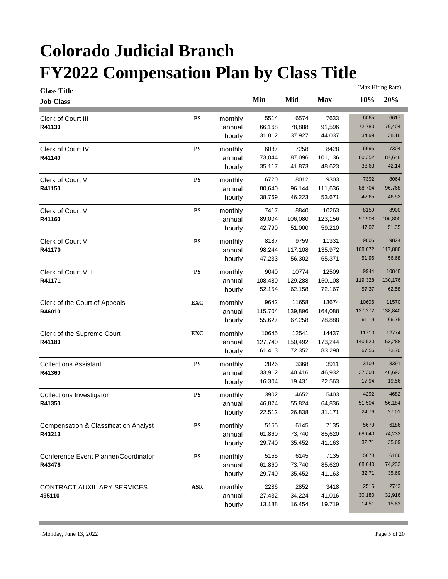| <b>Class Title</b>                               |               |         |         |         |            |         | (Max Hiring Rate) |
|--------------------------------------------------|---------------|---------|---------|---------|------------|---------|-------------------|
| <b>Job Class</b>                                 |               |         | Min     | Mid     | <b>Max</b> | 10%     | 20%               |
| Clerk of Court III                               | ${\bf PS}$    | monthly | 5514    | 6574    | 7633       | 6065    | 6617              |
| R41130                                           |               | annual  | 66,168  | 78,888  | 91,596     | 72,780  | 79,404            |
|                                                  |               | hourly  | 31.812  | 37.927  | 44.037     | 34.99   | 38.18             |
| Clerk of Court IV                                | ${\bf PS}$    | monthly | 6087    | 7258    | 8428       | 6696    | 7304              |
| R41140                                           |               | annual  | 73,044  | 87,096  | 101,136    | 80,352  | 87,648            |
|                                                  |               | hourly  | 35.117  | 41.873  | 48.623     | 38.63   | 42.14             |
| Clerk of Court V                                 | <b>PS</b>     | monthly | 6720    | 8012    | 9303       | 7392    | 8064              |
| R41150                                           |               | annual  | 80,640  | 96,144  | 111,636    | 88,704  | 96,768            |
|                                                  |               | hourly  | 38.769  | 46.223  | 53.671     | 42.65   | 46.52             |
| <b>Clerk of Court VI</b>                         | $\mathbf{PS}$ | monthly | 7417    | 8840    | 10263      | 8159    | 8900              |
| R41160                                           |               | annual  | 89,004  | 106,080 | 123,156    | 97,908  | 106,800           |
|                                                  |               | hourly  | 42.790  | 51.000  | 59.210     | 47.07   | 51.35             |
| <b>Clerk of Court VII</b>                        | PS            | monthly | 8187    | 9759    | 11331      | 9006    | 9824              |
| R41170                                           |               | annual  | 98,244  | 117,108 | 135,972    | 108,072 | 117,888           |
|                                                  |               | hourly  | 47.233  | 56.302  | 65.371     | 51.96   | 56.68             |
| Clerk of Court VIII                              | PS            | monthly | 9040    | 10774   | 12509      | 9944    | 10848             |
| R41171                                           |               | annual  | 108,480 | 129,288 | 150,108    | 119,328 | 130,176           |
|                                                  |               | hourly  | 52.154  | 62.158  | 72.167     | 57.37   | 62.58             |
| Clerk of the Court of Appeals                    | <b>EXC</b>    | monthly | 9642    | 11658   | 13674      | 10606   | 11570             |
| R46010                                           |               | annual  | 115,704 | 139,896 | 164,088    | 127,272 | 138,840           |
|                                                  |               | hourly  | 55.627  | 67.258  | 78.888     | 61.19   | 66.75             |
| Clerk of the Supreme Court                       | <b>EXC</b>    | monthly | 10645   | 12541   | 14437      | 11710   | 12774             |
| R41180                                           |               | annual  | 127,740 | 150,492 | 173,244    | 140,520 | 153,288           |
|                                                  |               | hourly  | 61.413  | 72.352  | 83.290     | 67.56   | 73.70             |
| <b>Collections Assistant</b>                     | <b>PS</b>     | monthly | 2826    | 3368    | 3911       | 3109    | 3391              |
| R41360                                           |               | annual  | 33,912  | 40,416  | 46,932     | 37,308  | 40,692            |
|                                                  |               | hourly  | 16.304  | 19.431  | 22.563     | 17.94   | 19.56             |
| <b>Collections Investigator</b>                  | <b>PS</b>     | monthly | 3902    | 4652    | 5403       | 4292    | 4682              |
| R41350                                           |               | annual  | 46,824  | 55,824  | 64,836     | 51,504  | 56,184            |
|                                                  |               | hourly  | 22.512  | 26.838  | 31.171     | 24.76   | 27.01             |
| <b>Compensation &amp; Classification Analyst</b> | PS            | monthly | 5155    | 6145    | 7135       | 5670    | 6186              |
| R43213                                           |               | annual  | 61,860  | 73,740  | 85,620     | 68,040  | 74,232            |
|                                                  |               | hourly  | 29.740  | 35.452  | 41.163     | 32.71   | 35.69             |
| Conference Event Planner/Coordinator             | ${\bf PS}$    | monthly | 5155    | 6145    | 7135       | 5670    | 6186              |
| R43476                                           |               | annual  | 61,860  | 73,740  | 85,620     | 68,040  | 74,232            |
|                                                  |               | hourly  | 29.740  | 35.452  | 41.163     | 32.71   | 35.69             |
| CONTRACT AUXILIARY SERVICES                      | <b>ASR</b>    | monthly | 2286    | 2852    | 3418       | 2515    | 2743              |
| 495110                                           |               |         |         |         |            |         |                   |
|                                                  |               | annual  | 27,432  | 34,224  | 41,016     | 30,180  | 32,916            |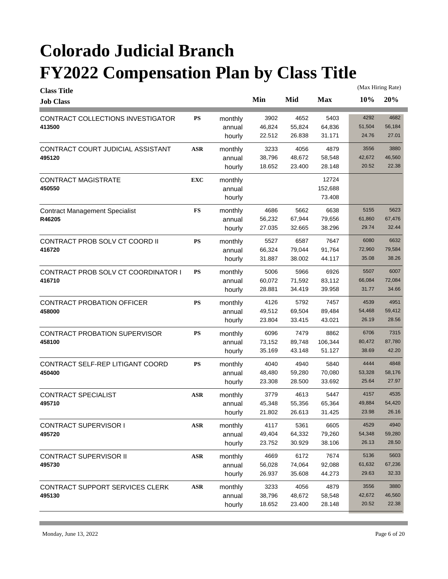| <b>Class Title</b>                    |                |         |        |        |            |        | (Max Hiring Rate) |
|---------------------------------------|----------------|---------|--------|--------|------------|--------|-------------------|
| <b>Job Class</b>                      |                |         | Min    | Mid    | <b>Max</b> | 10%    | 20%               |
| CONTRACT COLLECTIONS INVESTIGATOR     | <b>PS</b>      | monthly | 3902   | 4652   | 5403       | 4292   | 4682              |
| 413500                                |                | annual  | 46,824 | 55,824 | 64,836     | 51,504 | 56,184            |
|                                       |                | hourly  | 22.512 | 26.838 | 31.171     | 24.76  | 27.01             |
| CONTRACT COURT JUDICIAL ASSISTANT     | <b>ASR</b>     | monthly | 3233   | 4056   | 4879       | 3556   | 3880              |
| 495120                                |                | annual  | 38,796 | 48,672 | 58,548     | 42,672 | 46,560            |
|                                       |                | hourly  | 18.652 | 23.400 | 28.148     | 20.52  | 22.38             |
| <b>CONTRACT MAGISTRATE</b>            | <b>EXC</b>     | monthly |        |        | 12724      |        |                   |
| 450550                                |                | annual  |        |        | 152,688    |        |                   |
|                                       |                | hourly  |        |        | 73.408     |        |                   |
| <b>Contract Management Specialist</b> | <b>FS</b>      | monthly | 4686   | 5662   | 6638       | 5155   | 5623              |
| R46205                                |                | annual  | 56,232 | 67,944 | 79,656     | 61,860 | 67,476            |
|                                       |                | hourly  | 27.035 | 32.665 | 38.296     | 29.74  | 32.44             |
| CONTRACT PROB SOLV CT COORD II        | <b>PS</b>      | monthly | 5527   | 6587   | 7647       | 6080   | 6632              |
| 416720                                |                | annual  | 66,324 | 79,044 | 91,764     | 72,960 | 79,584            |
|                                       |                | hourly  | 31.887 | 38.002 | 44.117     | 35.08  | 38.26             |
| CONTRACT PROB SOLV CT COORDINATOR I   | <b>PS</b>      | monthly | 5006   | 5966   | 6926       | 5507   | 6007              |
| 416710                                |                | annual  | 60,072 | 71,592 | 83,112     | 66,084 | 72,084            |
|                                       |                | hourly  | 28.881 | 34.419 | 39.958     | 31.77  | 34.66             |
| <b>CONTRACT PROBATION OFFICER</b>     | <b>PS</b>      | monthly | 4126   | 5792   | 7457       | 4539   | 4951              |
| 458000                                |                | annual  | 49,512 | 69,504 | 89,484     | 54,468 | 59,412            |
|                                       |                | hourly  | 23.804 | 33.415 | 43.021     | 26.19  | 28.56             |
| <b>CONTRACT PROBATION SUPERVISOR</b>  | <b>PS</b>      | monthly | 6096   | 7479   | 8862       | 6706   | 7315              |
| 458100                                |                | annual  | 73,152 | 89,748 | 106,344    | 80,472 | 87,780            |
|                                       |                | hourly  | 35.169 | 43.148 | 51.127     | 38.69  | 42.20             |
| CONTRACT SELF-REP LITIGANT COORD      | <b>PS</b>      | monthly | 4040   | 4940   | 5840       | 4444   | 4848              |
| 450400                                |                | annual  | 48,480 | 59,280 | 70,080     | 53,328 | 58,176            |
|                                       |                | hourly  | 23.308 | 28.500 | 33.692     | 25.64  | 27.97             |
| CONTRACT SPECIALIST                   | <b>ASR</b>     | monthly | 3779   | 4613   | 5447       | 4157   | 4535              |
| 495710                                |                | annual  | 45,348 | 55,356 | 65,364     | 49,884 | 54,420            |
|                                       |                | hourly  | 21.802 | 26.613 | 31.425     | 23.98  | 26.16             |
| <b>CONTRACT SUPERVISOR I</b>          | $\mathbf{ASR}$ | monthly | 4117   | 5361   | 6605       | 4529   | 4940              |
| 495720                                |                | annual  | 49,404 | 64,332 | 79,260     | 54,348 | 59,280            |
|                                       |                | hourly  | 23.752 | 30.929 | 38.106     | 26.13  | 28.50             |
| <b>CONTRACT SUPERVISOR II</b>         | $\mathbf{ASR}$ | monthly | 4669   | 6172   | 7674       | 5136   | 5603              |
| 495730                                |                | annual  | 56,028 | 74,064 | 92,088     | 61,632 | 67,236            |
|                                       |                | hourly  | 26.937 | 35.608 | 44.273     | 29.63  | 32.33             |
| CONTRACT SUPPORT SERVICES CLERK       | $\mathbf{ASR}$ | monthly | 3233   | 4056   | 4879       | 3556   | 3880              |
| 495130                                |                | annual  | 38,796 | 48,672 | 58,548     | 42,672 | 46,560            |
|                                       |                | hourly  | 18.652 | 23.400 | 28.148     | 20.52  | 22.38             |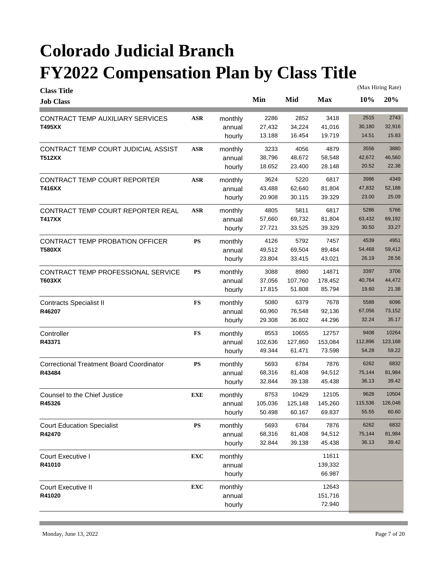| <b>Class Title</b>                              |               |         |         |         |            |         | (Max Hiring Rate) |
|-------------------------------------------------|---------------|---------|---------|---------|------------|---------|-------------------|
| <b>Job Class</b>                                |               |         | Min     | Mid     | <b>Max</b> | 10%     | 20%               |
| CONTRACT TEMP AUXILIARY SERVICES                | <b>ASR</b>    | monthly | 2286    | 2852    | 3418       | 2515    | 2743              |
| T495XX                                          |               | annual  | 27,432  | 34,224  | 41,016     | 30,180  | 32,916            |
|                                                 |               | hourly  | 13.188  | 16.454  | 19.719     | 14.51   | 15.83             |
| CONTRACT TEMP COURT JUDICIAL ASSIST             | <b>ASR</b>    | monthly | 3233    | 4056    | 4879       | 3556    | 3880              |
| <b>T512XX</b>                                   |               | annual  | 38,796  | 48,672  | 58,548     | 42,672  | 46,560            |
|                                                 |               | hourly  | 18.652  | 23.400  | 28.148     | 20.52   | 22.38             |
| CONTRACT TEMP COURT REPORTER                    | <b>ASR</b>    | monthly | 3624    | 5220    | 6817       | 3986    | 4349              |
| T416XX                                          |               | annual  | 43,488  | 62,640  | 81,804     | 47,832  | 52,188            |
|                                                 |               | hourly  | 20.908  | 30.115  | 39.329     | 23.00   | 25.09             |
| CONTRACT TEMP COURT REPORTER REAL               | <b>ASR</b>    | monthly | 4805    | 5811    | 6817       | 5286    | 5766              |
| T417XX                                          |               | annual  | 57,660  | 69,732  | 81,804     | 63,432  | 69,192            |
|                                                 |               | hourly  | 27.721  | 33.525  | 39.329     | 30.50   | 33.27             |
| <b>CONTRACT TEMP PROBATION OFFICER</b>          | PS            | monthly | 4126    | 5792    | 7457       | 4539    | 4951              |
| <b>T580XX</b>                                   |               | annual  | 49,512  | 69,504  | 89,484     | 54,468  | 59,412            |
|                                                 |               | hourly  | 23.804  | 33.415  | 43.021     | 26.19   | 28.56             |
| CONTRACT TEMP PROFESSIONAL SERVICE              | PS            | monthly | 3088    | 8980    | 14871      | 3397    | 3706              |
| T603XX                                          |               | annual  | 37,056  | 107,760 | 178,452    | 40,764  | 44,472            |
|                                                 |               | hourly  | 17.815  | 51.808  | 85.794     | 19.60   | 21.38             |
| <b>Contracts Specialist II</b>                  | $\mathbf{FS}$ | monthly | 5080    | 6379    | 7678       | 5588    | 6096              |
| R46207                                          |               | annual  | 60,960  | 76,548  | 92,136     | 67,056  | 73,152            |
|                                                 |               | hourly  | 29.308  | 36.802  | 44.296     | 32.24   | 35.17             |
| Controller                                      | FS            | monthly | 8553    | 10655   | 12757      | 9408    | 10264             |
| R43371                                          |               | annual  | 102,636 | 127,860 | 153,084    | 112,896 | 123,168           |
|                                                 |               | hourly  | 49.344  | 61.471  | 73.598     | 54.28   | 59.22             |
| <b>Correctional Treatment Board Coordinator</b> | ${\bf PS}$    | monthly | 5693    | 6784    | 7876       | 6262    | 6832              |
| R43484                                          |               | annual  | 68,316  | 81,408  | 94,512     | 75,144  | 81,984            |
|                                                 |               | hourly  | 32.844  | 39.138  | 45.438     | 36.13   | 39.42             |
| Counsel to the Chief Justice                    | <b>EXE</b>    | monthly | 8753    | 10429   | 12105      | 9628    | 10504             |
| R45326                                          |               | annual  | 105,036 | 125,148 | 145,260    | 115,536 | 126,048           |
|                                                 |               | hourly  | 50.498  | 60.167  | 69.837     | 55.55   | 60.60             |
| <b>Court Education Specialist</b>               | PS            | monthly | 5693    | 6784    | 7876       | 6262    | 6832              |
| R42470                                          |               | annual  | 68,316  | 81,408  | 94,512     | 75,144  | 81,984            |
|                                                 |               | hourly  | 32.844  | 39.138  | 45.438     | 36.13   | 39.42             |
| Court Executive I                               | <b>EXC</b>    | monthly |         |         | 11611      |         |                   |
| R41010                                          |               | annual  |         |         | 139,332    |         |                   |
|                                                 |               | hourly  |         |         | 66.987     |         |                   |
| <b>Court Executive II</b>                       | <b>EXC</b>    | monthly |         |         | 12643      |         |                   |
| R41020                                          |               | annual  |         |         | 151,716    |         |                   |
|                                                 |               | hourly  |         |         | 72.940     |         |                   |
|                                                 |               |         |         |         |            |         |                   |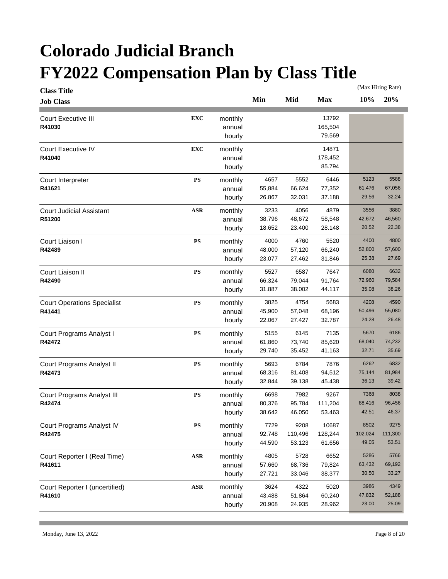| <b>Class Title</b>                 |               |                   |        |         |            |         | (Max Hiring Rate) |
|------------------------------------|---------------|-------------------|--------|---------|------------|---------|-------------------|
| <b>Job Class</b>                   |               |                   | Min    | Mid     | <b>Max</b> | 10%     | 20%               |
| <b>Court Executive III</b>         | <b>EXC</b>    | monthly           |        |         | 13792      |         |                   |
| R41030                             |               | annual            |        |         | 165,504    |         |                   |
|                                    |               | hourly            |        |         | 79.569     |         |                   |
| Court Executive IV                 | <b>EXC</b>    | monthly           |        |         | 14871      |         |                   |
| R41040                             |               | annual            |        |         | 178,452    |         |                   |
|                                    |               | hourly            |        |         | 85.794     |         |                   |
| Court Interpreter                  | <b>PS</b>     | monthly           | 4657   | 5552    | 6446       | 5123    | 5588              |
| R41621                             |               | annual            | 55,884 | 66,624  | 77,352     | 61,476  | 67,056            |
|                                    |               | hourly            | 26.867 | 32.031  | 37.188     | 29.56   | 32.24             |
| <b>Court Judicial Assistant</b>    | <b>ASR</b>    | monthly           | 3233   | 4056    | 4879       | 3556    | 3880              |
| R51200                             |               | annual            | 38,796 | 48,672  | 58,548     | 42,672  | 46,560            |
|                                    |               | hourly            | 18.652 | 23.400  | 28.148     | 20.52   | 22.38             |
| Court Liaison I                    | <b>PS</b>     | monthly           | 4000   | 4760    | 5520       | 4400    | 4800              |
| R42489                             |               | annual            | 48,000 | 57,120  | 66,240     | 52,800  | 57,600            |
|                                    |               | hourly            | 23.077 | 27.462  | 31.846     | 25.38   | 27.69             |
|                                    |               |                   |        |         |            |         |                   |
| Court Liaison II                   | <b>PS</b>     | monthly           | 5527   | 6587    | 7647       | 6080    | 6632              |
| R42490                             |               | annual            | 66,324 | 79,044  | 91,764     | 72,960  | 79,584            |
|                                    |               | hourly            | 31.887 | 38.002  | 44.117     | 35.08   | 38.26             |
| <b>Court Operations Specialist</b> | <b>PS</b>     | monthly           | 3825   | 4754    | 5683       | 4208    | 4590              |
| R41441                             |               | annual            | 45,900 | 57,048  | 68,196     | 50,496  | 55,080            |
|                                    |               | hourly            | 22.067 | 27.427  | 32.787     | 24.28   | 26.48             |
| Court Programs Analyst I           | <b>PS</b>     | monthly           | 5155   | 6145    | 7135       | 5670    | 6186              |
| R42472                             |               | annual            | 61,860 | 73,740  | 85,620     | 68,040  | 74,232            |
|                                    |               | hourly            | 29.740 | 35.452  | 41.163     | 32.71   | 35.69             |
| Court Programs Analyst II          | <b>PS</b>     | monthly           | 5693   | 6784    | 7876       | 6262    | 6832              |
| R42473                             |               | annual            | 68,316 | 81,408  | 94,512     | 75,144  | 81,984            |
|                                    |               | hourly            | 32.844 | 39.138  | 45.438     | 36.13   | 39.42             |
| Court Programs Analyst III         | <b>PS</b>     | monthly           | 6698   | 7982    | 9267       | 7368    | 8038              |
| R42474                             |               | annual            | 80,376 | 95,784  | 111,204    | 88,416  | 96,456            |
|                                    |               | hourly            | 38.642 | 46.050  | 53.463     | 42.51   | 46.37             |
| Court Programs Analyst IV          | $\mathbf{PS}$ | monthly           | 7729   | 9208    | 10687      | 8502    | 9275              |
| R42475                             |               | annual            | 92,748 | 110,496 | 128,244    | 102,024 | 111,300           |
|                                    |               | hourly            | 44.590 | 53.123  | 61.656     | 49.05   | 53.51             |
| Court Reporter I (Real Time)       | ASR           |                   | 4805   | 5728    | 6652       | 5286    | 5766              |
| R41611                             |               | monthly<br>annual | 57,660 | 68,736  | 79,824     | 63,432  | 69,192            |
|                                    |               | hourly            | 27.721 | 33.046  | 38.377     | 30.50   | 33.27             |
|                                    |               |                   |        |         |            |         |                   |
| Court Reporter I (uncertified)     | ASR           | monthly           | 3624   | 4322    | 5020       | 3986    | 4349              |
| R41610                             |               | annual            | 43,488 | 51,864  | 60,240     | 47,832  | 52,188            |
|                                    |               | hourly            | 20.908 | 24.935  | 28.962     | 23.00   | 25.09             |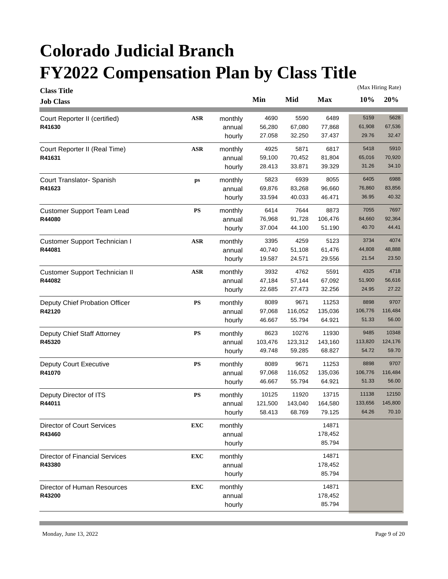| <b>Class Title</b>                    |                |         |         |         |            |         | (Max Hiring Rate) |
|---------------------------------------|----------------|---------|---------|---------|------------|---------|-------------------|
| <b>Job Class</b>                      |                |         | Min     | Mid     | <b>Max</b> | 10%     | 20%               |
| Court Reporter II (certified)         | $\mathbf{ASR}$ | monthly | 4690    | 5590    | 6489       | 5159    | 5628              |
| R41630                                |                | annual  | 56,280  | 67,080  | 77,868     | 61,908  | 67,536            |
|                                       |                | hourly  | 27.058  | 32.250  | 37.437     | 29.76   | 32.47             |
| Court Reporter II (Real Time)         | <b>ASR</b>     | monthly | 4925    | 5871    | 6817       | 5418    | 5910              |
| R41631                                |                | annual  | 59,100  | 70,452  | 81,804     | 65,016  | 70,920            |
|                                       |                | hourly  | 28.413  | 33.871  | 39.329     | 31.26   | 34.10             |
| Court Translator- Spanish             | ps             | monthly | 5823    | 6939    | 8055       | 6405    | 6988              |
| R41623                                |                | annual  | 69,876  | 83,268  | 96,660     | 76,860  | 83,856            |
|                                       |                | hourly  | 33.594  | 40.033  | 46.471     | 36.95   | 40.32             |
| <b>Customer Support Team Lead</b>     | PS             | monthly | 6414    | 7644    | 8873       | 7055    | 7697              |
| R44080                                |                | annual  | 76,968  | 91,728  | 106,476    | 84,660  | 92,364            |
|                                       |                | hourly  | 37.004  | 44.100  | 51.190     | 40.70   | 44.41             |
| Customer Support Technician I         | ASR            | monthly | 3395    | 4259    | 5123       | 3734    | 4074              |
| R44081                                |                | annual  | 40,740  | 51,108  | 61,476     | 44,808  | 48,888            |
|                                       |                | hourly  | 19.587  | 24.571  | 29.556     | 21.54   | 23.50             |
| <b>Customer Support Technician II</b> | <b>ASR</b>     | monthly | 3932    | 4762    | 5591       | 4325    | 4718              |
| R44082                                |                | annual  | 47,184  | 57,144  | 67,092     | 51,900  | 56,616            |
|                                       |                | hourly  | 22.685  | 27.473  | 32.256     | 24.95   | 27.22             |
| Deputy Chief Probation Officer        | PS             | monthly | 8089    | 9671    | 11253      | 8898    | 9707              |
| R42120                                |                | annual  | 97,068  | 116,052 | 135,036    | 106,776 | 116,484           |
|                                       |                | hourly  | 46.667  | 55.794  | 64.921     | 51.33   | 56.00             |
| Deputy Chief Staff Attorney           | PS             | monthly | 8623    | 10276   | 11930      | 9485    | 10348             |
| R45320                                |                | annual  | 103,476 | 123,312 | 143,160    | 113,820 | 124,176           |
|                                       |                | hourly  | 49.748  | 59.285  | 68.827     | 54.72   | 59.70             |
| <b>Deputy Court Executive</b>         | PS             | monthly | 8089    | 9671    | 11253      | 8898    | 9707              |
| R41070                                |                | annual  | 97,068  | 116,052 | 135,036    | 106,776 | 116,484           |
|                                       |                | hourly  | 46.667  | 55.794  | 64.921     | 51.33   | 56.00             |
| Deputy Director of ITS                | <b>PS</b>      | monthly | 10125   | 11920   | 13715      | 11138   | 12150             |
| R44011                                |                | annual  | 121,500 | 143,040 | 164,580    | 133,656 | 145,800           |
|                                       |                | hourly  | 58.413  | 68.769  | 79.125     | 64.26   | 70.10             |
| Director of Court Services            | <b>EXC</b>     | monthly |         |         | 14871      |         |                   |
| R43460                                |                | annual  |         |         | 178,452    |         |                   |
|                                       |                | hourly  |         |         | 85.794     |         |                   |
| <b>Director of Financial Services</b> | <b>EXC</b>     | monthly |         |         | 14871      |         |                   |
| R43380                                |                | annual  |         |         | 178,452    |         |                   |
|                                       |                | hourly  |         |         | 85.794     |         |                   |
| Director of Human Resources           | <b>EXC</b>     | monthly |         |         | 14871      |         |                   |
| R43200                                |                | annual  |         |         | 178,452    |         |                   |
|                                       |                | hourly  |         |         | 85.794     |         |                   |
|                                       |                |         |         |         |            |         |                   |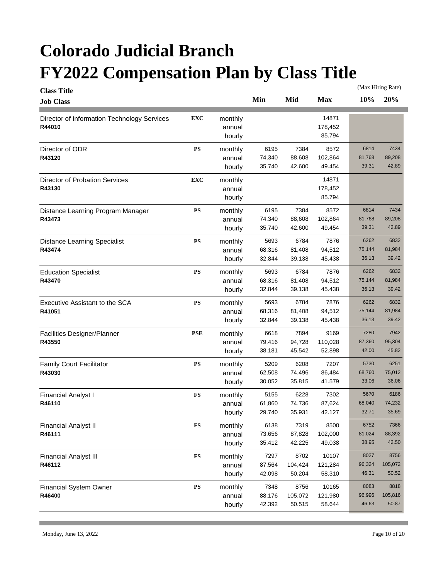| <b>Class Title</b>                          |               |         |        |         |            |        | (Max Hiring Rate) |
|---------------------------------------------|---------------|---------|--------|---------|------------|--------|-------------------|
| <b>Job Class</b>                            |               |         | Min    | Mid     | <b>Max</b> | 10%    | 20%               |
| Director of Information Technology Services | <b>EXC</b>    | monthly |        |         | 14871      |        |                   |
| R44010                                      |               | annual  |        |         | 178,452    |        |                   |
|                                             |               | hourly  |        |         | 85.794     |        |                   |
| Director of ODR                             | <b>PS</b>     | monthly | 6195   | 7384    | 8572       | 6814   | 7434              |
| R43120                                      |               | annual  | 74,340 | 88,608  | 102,864    | 81,768 | 89,208            |
|                                             |               | hourly  | 35.740 | 42.600  | 49.454     | 39.31  | 42.89             |
| <b>Director of Probation Services</b>       | <b>EXC</b>    | monthly |        |         | 14871      |        |                   |
| R43130                                      |               | annual  |        |         | 178,452    |        |                   |
|                                             |               | hourly  |        |         | 85.794     |        |                   |
| Distance Learning Program Manager           | <b>PS</b>     | monthly | 6195   | 7384    | 8572       | 6814   | 7434              |
| R43473                                      |               | annual  | 74,340 | 88,608  | 102,864    | 81,768 | 89,208            |
|                                             |               | hourly  | 35.740 | 42.600  | 49.454     | 39.31  | 42.89             |
| <b>Distance Learning Specialist</b>         | <b>PS</b>     | monthly | 5693   | 6784    | 7876       | 6262   | 6832              |
| R43474                                      |               | annual  | 68,316 | 81,408  | 94,512     | 75,144 | 81,984            |
|                                             |               | hourly  | 32.844 | 39.138  | 45.438     | 36.13  | 39.42             |
| <b>Education Specialist</b>                 | <b>PS</b>     | monthly | 5693   | 6784    | 7876       | 6262   | 6832              |
| R43470                                      |               | annual  | 68,316 | 81,408  | 94,512     | 75,144 | 81,984            |
|                                             |               | hourly  | 32.844 | 39.138  | 45.438     | 36.13  | 39.42             |
| Executive Assistant to the SCA              | ${\bf PS}$    | monthly | 5693   | 6784    | 7876       | 6262   | 6832              |
| R41051                                      |               | annual  | 68,316 | 81,408  | 94,512     | 75,144 | 81,984            |
|                                             |               | hourly  | 32.844 | 39.138  | 45.438     | 36.13  | 39.42             |
| Facilities Designer/Planner                 | <b>PSE</b>    | monthly | 6618   | 7894    | 9169       | 7280   | 7942              |
| R43550                                      |               | annual  | 79,416 | 94,728  | 110,028    | 87,360 | 95,304            |
|                                             |               | hourly  | 38.181 | 45.542  | 52.898     | 42.00  | 45.82             |
| <b>Family Court Facilitator</b>             | ${\bf PS}$    | monthly | 5209   | 6208    | 7207       | 5730   | 6251              |
| R43030                                      |               | annual  | 62,508 | 74,496  | 86,484     | 68,760 | 75,012            |
|                                             |               | hourly  | 30.052 | 35.815  | 41.579     | 33.06  | 36.06             |
| <b>Financial Analyst I</b>                  | <b>FS</b>     | monthly | 5155   | 6228    | 7302       | 5670   | 6186              |
| R46110                                      |               | annual  | 61,860 | 74,736  | 87,624     | 68,040 | 74,232            |
|                                             |               | hourly  | 29.740 | 35.931  | 42.127     | 32.71  | 35.69             |
| <b>Financial Analyst II</b>                 | ${\bf FS}$    | monthly | 6138   | 7319    | 8500       | 6752   | 7366              |
| R46111                                      |               | annual  | 73,656 | 87,828  | 102,000    | 81,024 | 88,392            |
|                                             |               | hourly  | 35.412 | 42.225  | 49.038     | 38.95  | 42.50             |
| <b>Financial Analyst III</b>                | $\mathbf{FS}$ | monthly | 7297   | 8702    | 10107      | 8027   | 8756              |
| R46112                                      |               | annual  | 87,564 | 104,424 | 121,284    | 96,324 | 105,072           |
|                                             |               | hourly  | 42.098 | 50.204  | 58.310     | 46.31  | 50.52             |
| <b>Financial System Owner</b>               | ${\bf PS}$    | monthly | 7348   | 8756    | 10165      | 8083   | 8818              |
| R46400                                      |               | annual  | 88,176 | 105,072 | 121,980    | 96,996 | 105,816           |
|                                             |               | hourly  | 42.392 | 50.515  | 58.644     | 46.63  | 50.87             |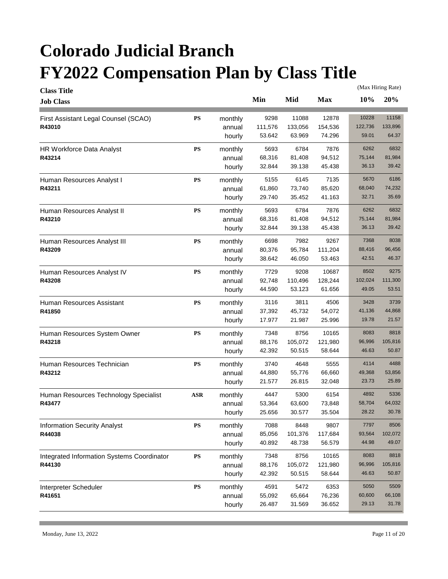|                                                                        |                  |                   |                 |         | (Max Hiring Rate) |
|------------------------------------------------------------------------|------------------|-------------------|-----------------|---------|-------------------|
| <b>Class Title</b><br><b>Job Class</b>                                 | Min              | Mid               | <b>Max</b>      | 10%     | 20%               |
| <b>PS</b><br>First Assistant Legal Counsel (SCAO)<br>monthly           | 9298             | 11088             | 12878           | 10228   | 11158             |
| R43010<br>annual                                                       | 111,576          | 133,056           | 154,536         | 122,736 | 133,896           |
| hourly                                                                 | 53.642           | 63.969            | 74.296          | 59.01   | 64.37             |
| <b>PS</b><br>HR Workforce Data Analyst<br>monthly                      | 5693             | 6784              | 7876            | 6262    | 6832              |
| R43214<br>annual                                                       | 68,316           | 81,408            | 94,512          | 75,144  | 81,984            |
| hourly                                                                 | 32.844           | 39.138            | 45.438          | 36.13   | 39.42             |
| <b>PS</b><br>monthly<br>Human Resources Analyst I                      | 5155             | 6145              | 7135            | 5670    | 6186              |
| R43211<br>annual                                                       | 61,860           | 73,740            | 85,620          | 68,040  | 74,232            |
| hourly                                                                 | 29.740           | 35.452            | 41.163          | 32.71   | 35.69             |
| <b>PS</b><br>monthly<br>Human Resources Analyst II                     | 5693             | 6784              | 7876            | 6262    | 6832              |
| R43210<br>annual                                                       | 68,316           | 81,408            | 94,512          | 75,144  | 81,984            |
| hourly                                                                 | 32.844           | 39.138            | 45.438          | 36.13   | 39.42             |
|                                                                        |                  |                   |                 |         |                   |
| <b>PS</b><br>monthly<br>Human Resources Analyst III                    | 6698             | 7982              | 9267            | 7368    | 8038              |
| R43209<br>annual                                                       | 80,376           | 95,784            | 111,204         | 88,416  | 96,456<br>46.37   |
| hourly                                                                 | 38.642           | 46.050            | 53.463          | 42.51   |                   |
| <b>PS</b><br>Human Resources Analyst IV<br>monthly                     | 7729             | 9208              | 10687           | 8502    | 9275              |
| R43208<br>annual                                                       | 92,748           | 110,496           | 128,244         | 102,024 | 111,300           |
| hourly                                                                 | 44.590           | 53.123            | 61.656          | 49.05   | 53.51             |
| <b>PS</b><br>Human Resources Assistant<br>monthly                      | 3116             | 3811              | 4506            | 3428    | 3739              |
| R41850<br>annual                                                       | 37,392           | 45,732            | 54,072          | 41,136  | 44,868            |
| hourly                                                                 | 17.977           | 21.987            | 25.996          | 19.78   | 21.57             |
| <b>PS</b><br>Human Resources System Owner<br>monthly                   | 7348             | 8756              | 10165           | 8083    | 8818              |
| R43218<br>annual                                                       | 88,176           | 105,072           | 121,980         | 96,996  | 105,816           |
| hourly                                                                 | 42.392           | 50.515            | 58.644          | 46.63   | 50.87             |
| Human Resources Technician<br><b>PS</b><br>monthly                     | 3740             | 4648              | 5555            | 4114    | 4488              |
| R43212<br>annual                                                       | 44,880           | 55,776            | 66,660          | 49,368  | 53,856            |
| hourly                                                                 | 21.577           | 26.815            | 32.048          | 23.73   | 25.89             |
| ASR<br>Human Resources Technology Specialist<br>monthly                | 4447             | 5300              | 6154            | 4892    | 5336              |
| R43477<br>annual                                                       | 53,364           | 63,600            | 73,848          | 58,704  | 64,032            |
| hourly                                                                 | 25.656           | 30.577            | 35.504          | 28.22   | 30.78             |
|                                                                        |                  |                   |                 | 7797    | 8506              |
| ${\bf PS}$<br><b>Information Security Analyst</b><br>monthly<br>R44038 | 7088             | 8448              | 9807<br>117,684 | 93,564  | 102,072           |
| annual                                                                 | 85,056<br>40.892 | 101,376<br>48.738 | 56.579          | 44.98   | 49.07             |
| hourly                                                                 |                  |                   |                 |         |                   |
| <b>PS</b><br>Integrated Information Systems Coordinator<br>monthly     | 7348             | 8756              | 10165           | 8083    | 8818              |
| R44130<br>annual                                                       | 88,176           | 105,072           | 121,980         | 96,996  | 105,816           |
| hourly                                                                 | 42.392           | 50.515            | 58.644          | 46.63   | 50.87             |
| Interpreter Scheduler<br>${\bf PS}$<br>monthly                         | 4591             | 5472              | 6353            | 5050    | 5509              |
| R41651<br>annual                                                       | 55,092           | 65,664            | 76,236          | 60,600  | 66,108            |
|                                                                        |                  |                   |                 |         |                   |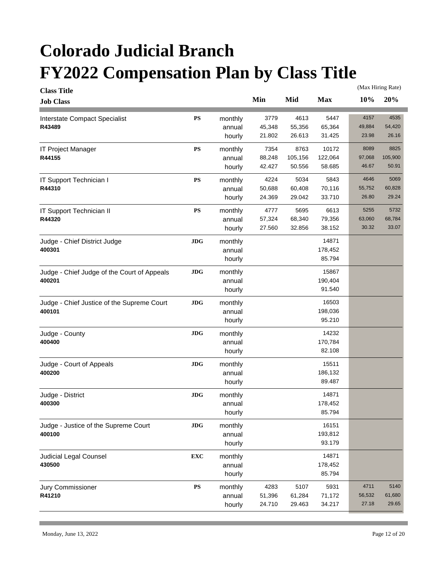| <b>Class Title</b>                          |            |         |        |         |            | (Max Hiring Rate) |         |
|---------------------------------------------|------------|---------|--------|---------|------------|-------------------|---------|
| <b>Job Class</b>                            |            |         | Min    | Mid     | <b>Max</b> | 10%               | 20%     |
| Interstate Compact Specialist               | ${\bf PS}$ | monthly | 3779   | 4613    | 5447       | 4157              | 4535    |
| R43489                                      |            | annual  | 45,348 | 55,356  | 65,364     | 49,884            | 54,420  |
|                                             |            | hourly  | 21.802 | 26.613  | 31.425     | 23.98             | 26.16   |
| <b>IT Project Manager</b>                   | ${\bf PS}$ | monthly | 7354   | 8763    | 10172      | 8089              | 8825    |
| R44155                                      |            | annual  | 88,248 | 105,156 | 122,064    | 97,068            | 105,900 |
|                                             |            | hourly  | 42.427 | 50.556  | 58.685     | 46.67             | 50.91   |
| IT Support Technician I                     | ${\bf PS}$ | monthly | 4224   | 5034    | 5843       | 4646              | 5069    |
| R44310                                      |            | annual  | 50,688 | 60,408  | 70,116     | 55,752            | 60,828  |
|                                             |            | hourly  | 24.369 | 29.042  | 33.710     | 26.80             | 29.24   |
| IT Support Technician II                    | ${\bf PS}$ | monthly | 4777   | 5695    | 6613       | 5255              | 5732    |
| R44320                                      |            | annual  | 57,324 | 68,340  | 79,356     | 63,060            | 68,784  |
|                                             |            | hourly  | 27.560 | 32.856  | 38.152     | 30.32             | 33.07   |
| Judge - Chief District Judge                | <b>JDG</b> | monthly |        |         | 14871      |                   |         |
| 400301                                      |            | annual  |        |         | 178,452    |                   |         |
|                                             |            | hourly  |        |         | 85.794     |                   |         |
| Judge - Chief Judge of the Court of Appeals | <b>JDG</b> | monthly |        |         | 15867      |                   |         |
| 400201                                      |            | annual  |        |         | 190,404    |                   |         |
|                                             |            | hourly  |        |         | 91.540     |                   |         |
| Judge - Chief Justice of the Supreme Court  | JDG        | monthly |        |         | 16503      |                   |         |
| 400101                                      |            | annual  |        |         | 198,036    |                   |         |
|                                             |            | hourly  |        |         | 95.210     |                   |         |
| Judge - County                              | <b>JDG</b> | monthly |        |         | 14232      |                   |         |
| 400400                                      |            | annual  |        |         | 170,784    |                   |         |
|                                             |            | hourly  |        |         | 82.108     |                   |         |
| Judge - Court of Appeals                    | <b>JDG</b> | monthly |        |         | 15511      |                   |         |
| 400200                                      |            | annual  |        |         | 186,132    |                   |         |
|                                             |            | hourly  |        |         | 89.487     |                   |         |
| Judge - District                            | <b>JDG</b> | monthly |        |         | 14871      |                   |         |
| 400300                                      |            | annual  |        |         | 178,452    |                   |         |
|                                             |            | hourly  |        |         | 85.794     |                   |         |
| Judge - Justice of the Supreme Court        | <b>JDG</b> | monthly |        |         | 16151      |                   |         |
| 400100                                      |            | annual  |        |         | 193,812    |                   |         |
|                                             |            | hourly  |        |         | 93.179     |                   |         |
| <b>Judicial Legal Counsel</b>               | <b>EXC</b> | monthly |        |         | 14871      |                   |         |
| 430500                                      |            | annual  |        |         | 178,452    |                   |         |
|                                             |            | hourly  |        |         | 85.794     |                   |         |
| Jury Commissioner                           | ${\bf PS}$ | monthly | 4283   | 5107    | 5931       | 4711              | 5140    |
| R41210                                      |            | annual  | 51,396 | 61,284  | 71,172     | 56,532            | 61,680  |
|                                             |            | hourly  | 24.710 | 29.463  | 34.217     | 27.18             | 29.65   |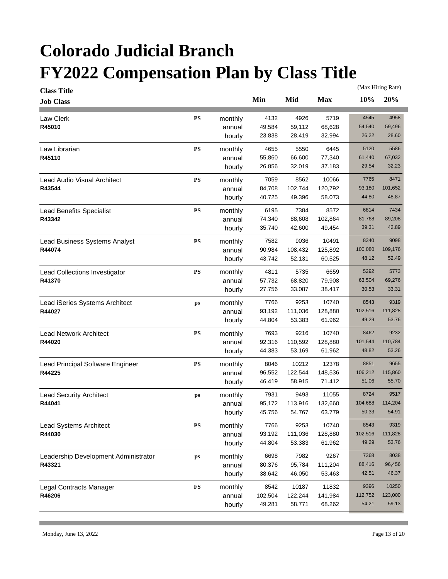| <b>Class Title</b>                   |               |         |         |         |            |         | (Max Hiring Rate) |
|--------------------------------------|---------------|---------|---------|---------|------------|---------|-------------------|
| <b>Job Class</b>                     |               |         | Min     | Mid     | <b>Max</b> | 10%     | 20%               |
| <b>Law Clerk</b>                     | <b>PS</b>     | monthly | 4132    | 4926    | 5719       | 4545    | 4958              |
| R45010                               |               | annual  | 49,584  | 59,112  | 68,628     | 54,540  | 59,496            |
|                                      |               | hourly  | 23.838  | 28.419  | 32.994     | 26.22   | 28.60             |
| Law Librarian                        | <b>PS</b>     | monthly | 4655    | 5550    | 6445       | 5120    | 5586              |
| R45110                               |               | annual  | 55,860  | 66,600  | 77,340     | 61,440  | 67,032            |
|                                      |               | hourly  | 26.856  | 32.019  | 37.183     | 29.54   | 32.23             |
| Lead Audio Visual Architect          | <b>PS</b>     | monthly | 7059    | 8562    | 10066      | 7765    | 8471              |
| R43544                               |               | annual  | 84,708  | 102,744 | 120,792    | 93,180  | 101,652           |
|                                      |               | hourly  | 40.725  | 49.396  | 58.073     | 44.80   | 48.87             |
| <b>Lead Benefits Specialist</b>      | <b>PS</b>     | monthly | 6195    | 7384    | 8572       | 6814    | 7434              |
| R43342                               |               | annual  | 74,340  | 88,608  | 102,864    | 81,768  | 89,208            |
|                                      |               | hourly  | 35.740  | 42.600  | 49.454     | 39.31   | 42.89             |
| Lead Business Systems Analyst        | $\mathbf{PS}$ | monthly | 7582    | 9036    | 10491      | 8340    | 9098              |
| R44074                               |               | annual  | 90,984  | 108,432 | 125,892    | 100,080 | 109,176           |
|                                      |               | hourly  | 43.742  | 52.131  | 60.525     | 48.12   | 52.49             |
| Lead Collections Investigator        | <b>PS</b>     | monthly | 4811    | 5735    | 6659       | 5292    | 5773              |
| R41370                               |               | annual  | 57,732  | 68,820  | 79,908     | 63,504  | 69,276            |
|                                      |               | hourly  | 27.756  | 33.087  | 38.417     | 30.53   | 33.31             |
| Lead iSeries Systems Architect       | ps            | monthly | 7766    | 9253    | 10740      | 8543    | 9319              |
| R44027                               |               | annual  | 93,192  | 111,036 | 128,880    | 102,516 | 111,828           |
|                                      |               | hourly  | 44.804  | 53.383  | 61.962     | 49.29   | 53.76             |
| Lead Network Architect               | <b>PS</b>     | monthly | 7693    | 9216    | 10740      | 8462    | 9232              |
| R44020                               |               | annual  | 92,316  | 110,592 | 128,880    | 101,544 | 110,784           |
|                                      |               | hourly  | 44.383  | 53.169  | 61.962     | 48.82   | 53.26             |
| Lead Principal Software Engineer     | <b>PS</b>     | monthly | 8046    | 10212   | 12378      | 8851    | 9655              |
| R44225                               |               | annual  | 96,552  | 122,544 | 148,536    | 106,212 | 115,860           |
|                                      |               | hourly  | 46.419  | 58.915  | 71.412     | 51.06   | 55.70             |
| <b>Lead Security Architect</b>       | ps            | monthly | 7931    | 9493    | 11055      | 8724    | 9517              |
| R44041                               |               | annual  | 95,172  | 113,916 | 132,660    | 104,688 | 114,204           |
|                                      |               | hourly  | 45.756  | 54.767  | 63.779     | 50.33   | 54.91             |
| Lead Systems Architect               | ${\bf PS}$    | monthly | 7766    | 9253    | 10740      | 8543    | 9319              |
| R44030                               |               | annual  | 93,192  | 111,036 | 128,880    | 102,516 | 111,828           |
|                                      |               | hourly  | 44.804  | 53.383  | 61.962     | 49.29   | 53.76             |
| Leadership Development Administrator | ps            | monthly | 6698    | 7982    | 9267       | 7368    | 8038              |
| R43321                               |               | annual  | 80,376  | 95,784  | 111,204    | 88,416  | 96,456            |
|                                      |               | hourly  | 38.642  | 46.050  | 53.463     | 42.51   | 46.37             |
| Legal Contracts Manager              | <b>FS</b>     | monthly | 8542    | 10187   | 11832      | 9396    | 10250             |
| R46206                               |               | annual  | 102,504 | 122,244 | 141,984    | 112,752 | 123,000           |
|                                      |               | hourly  | 49.281  | 58.771  | 68.262     | 54.21   | 59.13             |
|                                      |               |         |         |         |            |         |                   |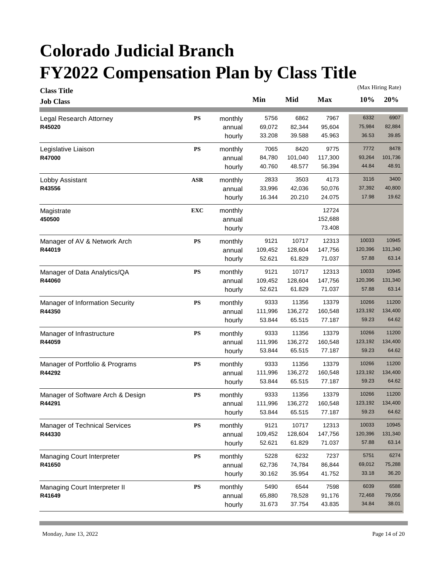| <b>Class Title</b>                   |            |                   |         |         |            |         | (Max Hiring Rate) |
|--------------------------------------|------------|-------------------|---------|---------|------------|---------|-------------------|
| <b>Job Class</b>                     |            |                   | Min     | Mid     | <b>Max</b> | 10%     | 20%               |
| Legal Research Attorney              | <b>PS</b>  | monthly           | 5756    | 6862    | 7967       | 6332    | 6907              |
| R45020                               |            | annual            | 69,072  | 82,344  | 95,604     | 75,984  | 82,884            |
|                                      |            | hourly            | 33.208  | 39.588  | 45.963     | 36.53   | 39.85             |
| Legislative Liaison                  | <b>PS</b>  | monthly           | 7065    | 8420    | 9775       | 7772    | 8478              |
| R47000                               |            | annual            | 84,780  | 101,040 | 117,300    | 93,264  | 101,736           |
|                                      |            | hourly            | 40.760  | 48.577  | 56.394     | 44.84   | 48.91             |
| Lobby Assistant                      | <b>ASR</b> | monthly           | 2833    | 3503    | 4173       | 3116    | 3400              |
| R43556                               |            | annual            | 33,996  | 42,036  | 50,076     | 37,392  | 40,800            |
|                                      |            | hourly            | 16.344  | 20.210  | 24.075     | 17.98   | 19.62             |
| Magistrate                           | <b>EXC</b> | monthly           |         |         | 12724      |         |                   |
| 450500                               |            | annual            |         |         | 152,688    |         |                   |
|                                      |            | hourly            |         |         | 73.408     |         |                   |
|                                      |            |                   |         |         |            |         |                   |
| Manager of AV & Network Arch         | <b>PS</b>  | monthly           | 9121    | 10717   | 12313      | 10033   | 10945             |
| R44019                               |            | annual            | 109,452 | 128,604 | 147,756    | 120,396 | 131,340           |
|                                      |            | hourly            | 52.621  | 61.829  | 71.037     | 57.88   | 63.14             |
| Manager of Data Analytics/QA         | <b>PS</b>  | monthly           | 9121    | 10717   | 12313      | 10033   | 10945             |
| R44060                               |            | annual            | 109,452 | 128,604 | 147,756    | 120,396 | 131,340           |
|                                      |            | hourly            | 52.621  | 61.829  | 71.037     | 57.88   | 63.14             |
| Manager of Information Security      | <b>PS</b>  | monthly           | 9333    | 11356   | 13379      | 10266   | 11200             |
| R44350                               |            | annual            | 111,996 | 136,272 | 160,548    | 123,192 | 134,400           |
|                                      |            | hourly            | 53.844  | 65.515  | 77.187     | 59.23   | 64.62             |
| Manager of Infrastructure            | <b>PS</b>  | monthly           | 9333    | 11356   | 13379      | 10266   | 11200             |
| R44059                               |            | annual            | 111,996 | 136,272 | 160,548    | 123,192 | 134,400           |
|                                      |            | hourly            | 53.844  | 65.515  | 77.187     | 59.23   | 64.62             |
| Manager of Portfolio & Programs      | <b>PS</b>  | monthly           | 9333    | 11356   | 13379      | 10266   | 11200             |
| R44292                               |            | annual            | 111,996 | 136,272 | 160,548    | 123,192 | 134,400           |
|                                      |            | hourly            | 53.844  | 65.515  | 77.187     | 59.23   | 64.62             |
| Manager of Software Arch & Design    | <b>PS</b>  | monthly           | 9333    | 11356   | 13379      | 10266   | 11200             |
| R44291                               |            | annual            | 111,996 | 136,272 | 160,548    | 123,192 | 134,400           |
|                                      |            | hourly            | 53.844  | 65.515  | 77.187     | 59.23   | 64.62             |
| Manager of Technical Services        | ${\bf PS}$ | monthly           | 9121    | 10717   | 12313      | 10033   | 10945             |
| R44330                               |            | annual            | 109,452 | 128,604 | 147,756    | 120,396 | 131,340           |
|                                      |            | hourly            | 52.621  | 61.829  | 71.037     | 57.88   | 63.14             |
|                                      | <b>PS</b>  |                   | 5228    | 6232    | 7237       | 5751    | 6274              |
| Managing Court Interpreter<br>R41650 |            | monthly<br>annual | 62,736  | 74,784  | 86,844     | 69,012  | 75,288            |
|                                      |            | hourly            | 30.162  | 35.954  | 41.752     | 33.18   | 36.20             |
|                                      |            |                   |         |         |            |         |                   |
| Managing Court Interpreter II        | ${\bf PS}$ | monthly           | 5490    | 6544    | 7598       | 6039    | 6588              |
| R41649                               |            | annual            | 65,880  | 78,528  | 91,176     | 72,468  | 79,056            |
|                                      |            | hourly            | 31.673  | 37.754  | 43.835     | 34.84   | 38.01             |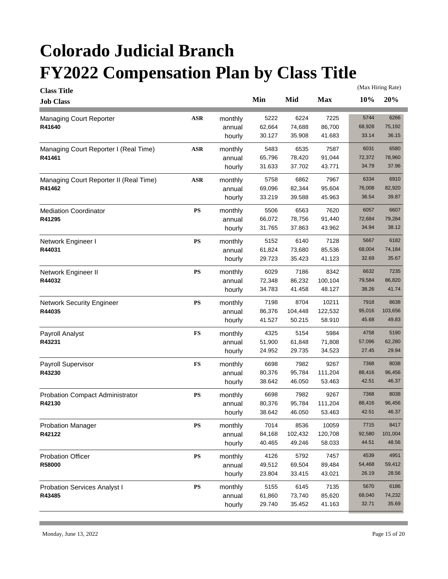| <b>Class Title</b>                     |            |         |        |         |            | (Max Hiring Rate) |         |  |
|----------------------------------------|------------|---------|--------|---------|------------|-------------------|---------|--|
| <b>Job Class</b>                       |            |         | Min    | Mid     | <b>Max</b> | 10%               | 20%     |  |
| Managing Court Reporter                | $\bf ASR$  | monthly | 5222   | 6224    | 7225       | 5744              | 6266    |  |
| R41640                                 |            | annual  | 62,664 | 74,688  | 86,700     | 68,928            | 75,192  |  |
|                                        |            | hourly  | 30.127 | 35.908  | 41.683     | 33.14             | 36.15   |  |
| Managing Court Reporter I (Real Time)  | <b>ASR</b> | monthly | 5483   | 6535    | 7587       | 6031              | 6580    |  |
| R41461                                 |            | annual  | 65,796 | 78,420  | 91,044     | 72,372            | 78,960  |  |
|                                        |            | hourly  | 31.633 | 37.702  | 43.771     | 34.79             | 37.96   |  |
| Managing Court Reporter II (Real Time) | <b>ASR</b> | monthly | 5758   | 6862    | 7967       | 6334              | 6910    |  |
| R41462                                 |            | annual  | 69,096 | 82,344  | 95,604     | 76,008            | 82,920  |  |
|                                        |            | hourly  | 33.219 | 39.588  | 45.963     | 36.54             | 39.87   |  |
| <b>Mediation Coordinator</b>           | ${\bf PS}$ | monthly | 5506   | 6563    | 7620       | 6057              | 6607    |  |
| R41295                                 |            | annual  | 66,072 | 78,756  | 91,440     | 72,684            | 79,284  |  |
|                                        |            | hourly  | 31.765 | 37.863  | 43.962     | 34.94             | 38.12   |  |
| Network Engineer I                     | ${\bf PS}$ | monthly | 5152   | 6140    | 7128       | 5667              | 6182    |  |
| R44031                                 |            | annual  | 61,824 | 73,680  | 85,536     | 68,004            | 74,184  |  |
|                                        |            | hourly  | 29.723 | 35.423  | 41.123     | 32.69             | 35.67   |  |
| Network Engineer II                    | <b>PS</b>  | monthly | 6029   | 7186    | 8342       | 6632              | 7235    |  |
| R44032                                 |            | annual  | 72,348 | 86,232  | 100,104    | 79,584            | 86,820  |  |
|                                        |            | hourly  | 34.783 | 41.458  | 48.127     | 38.26             | 41.74   |  |
| <b>Network Security Engineer</b>       | ${\bf PS}$ | monthly | 7198   | 8704    | 10211      | 7918              | 8638    |  |
| R44035                                 |            | annual  | 86,376 | 104,448 | 122,532    | 95,016            | 103,656 |  |
|                                        |            | hourly  | 41.527 | 50.215  | 58.910     | 45.68             | 49.83   |  |
| Payroll Analyst                        | <b>FS</b>  | monthly | 4325   | 5154    | 5984       | 4758              | 5190    |  |
| R43231                                 |            | annual  | 51,900 | 61,848  | 71,808     | 57,096            | 62,280  |  |
|                                        |            | hourly  | 24.952 | 29.735  | 34.523     | 27.45             | 29.94   |  |
| Payroll Supervisor                     | ${\bf FS}$ | monthly | 6698   | 7982    | 9267       | 7368              | 8038    |  |
| R43230                                 |            | annual  | 80,376 | 95,784  | 111,204    | 88,416            | 96,456  |  |
|                                        |            | hourly  | 38.642 | 46.050  | 53.463     | 42.51             | 46.37   |  |
| <b>Probation Compact Administrator</b> | ${\bf PS}$ | monthly | 6698   | 7982    | 9267       | 7368              | 8038    |  |
| R42130                                 |            | annual  | 80,376 | 95,784  | 111,204    | 88,416            | 96,456  |  |
|                                        |            | hourly  | 38.642 | 46.050  | 53.463     | 42.51             | 46.37   |  |
| <b>Probation Manager</b>               | ${\bf PS}$ | monthly | 7014   | 8536    | 10059      | 7715              | 8417    |  |
| R42122                                 |            | annual  | 84,168 | 102,432 | 120,708    | 92,580            | 101,004 |  |
|                                        |            | hourly  | 40.465 | 49.246  | 58.033     | 44.51             | 48.56   |  |
| Probation Officer                      | ${\bf PS}$ | monthly | 4126   | 5792    | 7457       | 4539              | 4951    |  |
| R58000                                 |            | annual  | 49,512 | 69,504  | 89,484     | 54,468            | 59,412  |  |
|                                        |            | hourly  | 23.804 | 33.415  | 43.021     | 26.19             | 28.56   |  |
| <b>Probation Services Analyst I</b>    | ${\bf PS}$ | monthly | 5155   | 6145    | 7135       | 5670              | 6186    |  |
| R43485                                 |            | annual  | 61,860 | 73,740  | 85,620     | 68,040            | 74,232  |  |
|                                        |            | hourly  | 29.740 | 35.452  | 41.163     | 32.71             | 35.69   |  |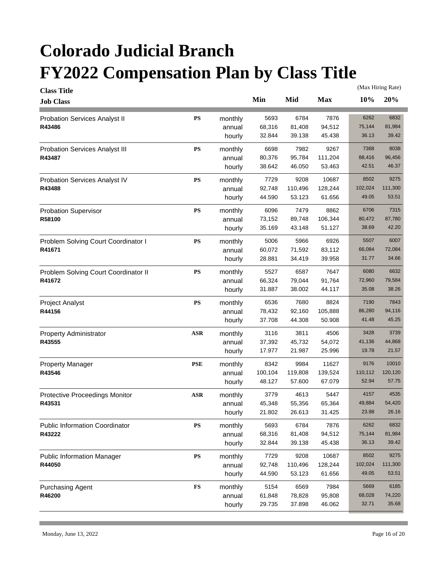| <b>Class Title</b>                    |               |         |         |         |            |         | (Max Hiring Rate) |
|---------------------------------------|---------------|---------|---------|---------|------------|---------|-------------------|
| <b>Job Class</b>                      |               |         | Min     | Mid     | <b>Max</b> | 10%     | 20%               |
| <b>Probation Services Analyst II</b>  | <b>PS</b>     | monthly | 5693    | 6784    | 7876       | 6262    | 6832              |
| R43486                                |               | annual  | 68,316  | 81,408  | 94,512     | 75,144  | 81,984            |
|                                       |               | hourly  | 32.844  | 39.138  | 45.438     | 36.13   | 39.42             |
| <b>Probation Services Analyst III</b> | <b>PS</b>     | monthly | 6698    | 7982    | 9267       | 7368    | 8038              |
| R43487                                |               | annual  | 80,376  | 95,784  | 111,204    | 88,416  | 96,456            |
|                                       |               | hourly  | 38.642  | 46.050  | 53.463     | 42.51   | 46.37             |
| Probation Services Analyst IV         | ${\bf PS}$    | monthly | 7729    | 9208    | 10687      | 8502    | 9275              |
| R43488                                |               | annual  | 92,748  | 110,496 | 128,244    | 102,024 | 111,300           |
|                                       |               | hourly  | 44.590  | 53.123  | 61.656     | 49.05   | 53.51             |
| <b>Probation Supervisor</b>           | ${\bf PS}$    | monthly | 6096    | 7479    | 8862       | 6706    | 7315              |
| R58100                                |               | annual  | 73,152  | 89,748  | 106,344    | 80,472  | 87,780            |
|                                       |               | hourly  | 35.169  | 43.148  | 51.127     | 38.69   | 42.20             |
| Problem Solving Court Coordinator I   | <b>PS</b>     | monthly | 5006    | 5966    | 6926       | 5507    | 6007              |
| R41671                                |               | annual  | 60,072  | 71,592  | 83,112     | 66,084  | 72,084            |
|                                       |               | hourly  | 28.881  | 34.419  | 39.958     | 31.77   | 34.66             |
| Problem Solving Court Coordinator II  | <b>PS</b>     | monthly | 5527    | 6587    | 7647       | 6080    | 6632              |
| R41672                                |               | annual  | 66,324  | 79,044  | 91,764     | 72,960  | 79,584            |
|                                       |               | hourly  | 31.887  | 38.002  | 44.117     | 35.08   | 38.26             |
| Project Analyst                       | ${\bf PS}$    | monthly | 6536    | 7680    | 8824       | 7190    | 7843              |
| R44156                                |               | annual  | 78,432  | 92,160  | 105,888    | 86,280  | 94,116            |
|                                       |               | hourly  | 37.708  | 44.308  | 50.908     | 41.48   | 45.25             |
| <b>Property Administrator</b>         | <b>ASR</b>    | monthly | 3116    | 3811    | 4506       | 3428    | 3739              |
| R43555                                |               | annual  | 37,392  | 45,732  | 54,072     | 41,136  | 44,868            |
|                                       |               | hourly  | 17.977  | 21.987  | 25.996     | 19.78   | 21.57             |
| <b>Property Manager</b>               | <b>PSE</b>    | monthly | 8342    | 9984    | 11627      | 9176    | 10010             |
| R43546                                |               | annual  | 100,104 | 119,808 | 139,524    | 110,112 | 120,120           |
|                                       |               | hourly  | 48.127  | 57.600  | 67.079     | 52.94   | 57.75             |
| Protective Proceedings Monitor        | <b>ASR</b>    | monthly | 3779    | 4613    | 5447       | 4157    | 4535              |
| R43531                                |               | annual  | 45,348  | 55,356  | 65,364     | 49,884  | 54,420            |
|                                       |               | hourly  | 21.802  | 26.613  | 31.425     | 23.98   | 26.16             |
| <b>Public Information Coordinator</b> | ${\bf PS}$    | monthly | 5693    | 6784    | 7876       | 6262    | 6832              |
| R43222                                |               | annual  | 68,316  | 81,408  | 94,512     | 75,144  | 81,984            |
|                                       |               | hourly  | 32.844  | 39.138  | 45.438     | 36.13   | 39.42             |
| <b>Public Information Manager</b>     | ${\bf PS}$    | monthly | 7729    | 9208    | 10687      | 8502    | 9275              |
| R44050                                |               | annual  | 92,748  | 110,496 | 128,244    | 102,024 | 111,300           |
|                                       |               | hourly  | 44.590  | 53.123  | 61.656     | 49.05   | 53.51             |
| <b>Purchasing Agent</b>               | $\mathbf{FS}$ | monthly | 5154    | 6569    | 7984       | 5669    | 6185              |
| R46200                                |               | annual  | 61,848  | 78,828  | 95,808     | 68,028  | 74,220            |
|                                       |               | hourly  | 29.735  | 37.898  | 46.062     | 32.71   | 35.68             |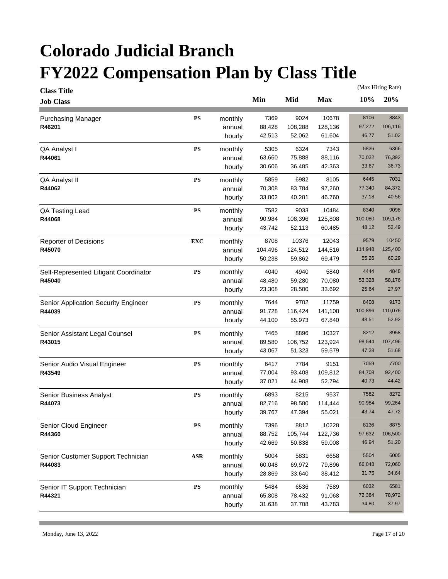| <b>Class Title</b>                    |            |         |         |         |            | (Max Hiring Rate) |         |  |
|---------------------------------------|------------|---------|---------|---------|------------|-------------------|---------|--|
| <b>Job Class</b>                      |            |         | Min     | Mid     | <b>Max</b> | 10%               | 20%     |  |
| <b>Purchasing Manager</b>             | <b>PS</b>  | monthly | 7369    | 9024    | 10678      | 8106              | 8843    |  |
| R46201                                |            | annual  | 88,428  | 108,288 | 128,136    | 97,272            | 106,116 |  |
|                                       |            | hourly  | 42.513  | 52.062  | 61.604     | 46.77             | 51.02   |  |
| QA Analyst I                          | <b>PS</b>  | monthly | 5305    | 6324    | 7343       | 5836              | 6366    |  |
| R44061                                |            | annual  | 63,660  | 75,888  | 88,116     | 70,032            | 76,392  |  |
|                                       |            | hourly  | 30.606  | 36.485  | 42.363     | 33.67             | 36.73   |  |
| QA Analyst II                         | ${\bf PS}$ | monthly | 5859    | 6982    | 8105       | 6445              | 7031    |  |
| R44062                                |            | annual  | 70,308  | 83,784  | 97,260     | 77,340            | 84,372  |  |
|                                       |            | hourly  | 33.802  | 40.281  | 46.760     | 37.18             | 40.56   |  |
| QA Testing Lead                       | ${\bf PS}$ | monthly | 7582    | 9033    | 10484      | 8340              | 9098    |  |
| R44068                                |            | annual  | 90,984  | 108,396 | 125,808    | 100,080           | 109,176 |  |
|                                       |            | hourly  | 43.742  | 52.113  | 60.485     | 48.12             | 52.49   |  |
| <b>Reporter of Decisions</b>          | <b>EXC</b> | monthly | 8708    | 10376   | 12043      | 9579              | 10450   |  |
| R45070                                |            | annual  | 104,496 | 124,512 | 144,516    | 114,948           | 125,400 |  |
|                                       |            | hourly  | 50.238  | 59.862  | 69.479     | 55.26             | 60.29   |  |
| Self-Represented Litigant Coordinator | <b>PS</b>  | monthly | 4040    | 4940    | 5840       | 4444              | 4848    |  |
| R45040                                |            | annual  | 48,480  | 59,280  | 70,080     | 53,328            | 58,176  |  |
|                                       |            | hourly  | 23.308  | 28.500  | 33.692     | 25.64             | 27.97   |  |
| Senior Application Security Engineer  | <b>PS</b>  | monthly | 7644    | 9702    | 11759      | 8408              | 9173    |  |
| R44039                                |            | annual  | 91,728  | 116,424 | 141,108    | 100,896           | 110,076 |  |
|                                       |            | hourly  | 44.100  | 55.973  | 67.840     | 48.51             | 52.92   |  |
| Senior Assistant Legal Counsel        | ${\bf PS}$ | monthly | 7465    | 8896    | 10327      | 8212              | 8958    |  |
| R43015                                |            | annual  | 89,580  | 106,752 | 123,924    | 98,544            | 107,496 |  |
|                                       |            | hourly  | 43.067  | 51.323  | 59.579     | 47.38             | 51.68   |  |
| Senior Audio Visual Engineer          | ${\bf PS}$ | monthly | 6417    | 7784    | 9151       | 7059              | 7700    |  |
| R43549                                |            | annual  | 77,004  | 93,408  | 109,812    | 84,708            | 92,400  |  |
|                                       |            | hourly  | 37.021  | 44.908  | 52.794     | 40.73             | 44.42   |  |
| Senior Business Analyst               | <b>PS</b>  | monthly | 6893    | 8215    | 9537       | 7582              | 8272    |  |
| R44073                                |            | annual  | 82,716  | 98,580  | 114,444    | 90,984            | 99,264  |  |
|                                       |            | hourly  | 39.767  | 47.394  | 55.021     | 43.74             | 47.72   |  |
| Senior Cloud Engineer                 | ${\bf PS}$ | monthly | 7396    | 8812    | 10228      | 8136              | 8875    |  |
| R44360                                |            | annual  | 88,752  | 105,744 | 122,736    | 97,632            | 106,500 |  |
|                                       |            | hourly  | 42.669  | 50.838  | 59.008     | 46.94             | 51.20   |  |
| Senior Customer Support Technician    | $\bf ASR$  | monthly | 5004    | 5831    | 6658       | 5504              | 6005    |  |
| R44083                                |            | annual  | 60,048  | 69,972  | 79,896     | 66,048            | 72,060  |  |
|                                       |            | hourly  | 28.869  | 33.640  | 38.412     | 31.75             | 34.64   |  |
| Senior IT Support Technician          | ${\bf PS}$ | monthly | 5484    | 6536    | 7589       | 6032              | 6581    |  |
| R44321                                |            | annual  | 65,808  | 78,432  | 91,068     | 72,384            | 78,972  |  |
|                                       |            | hourly  | 31.638  | 37.708  | 43.783     | 34.80             | 37.97   |  |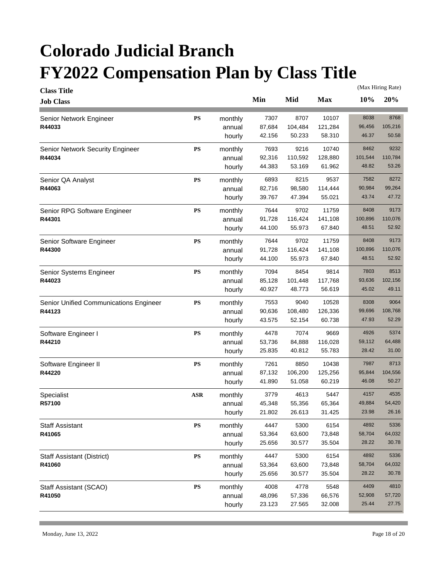| <b>Class Title</b>                     |            |         |        |         |            |         | (Max Hiring Rate) |
|----------------------------------------|------------|---------|--------|---------|------------|---------|-------------------|
| <b>Job Class</b>                       |            |         | Min    | Mid     | <b>Max</b> | 10%     | 20%               |
| Senior Network Engineer                | <b>PS</b>  | monthly | 7307   | 8707    | 10107      | 8038    | 8768              |
| R44033                                 |            | annual  | 87,684 | 104,484 | 121,284    | 96,456  | 105,216           |
|                                        |            | hourly  | 42.156 | 50.233  | 58.310     | 46.37   | 50.58             |
| Senior Network Security Engineer       | <b>PS</b>  | monthly | 7693   | 9216    | 10740      | 8462    | 9232              |
| R44034                                 |            | annual  | 92,316 | 110,592 | 128,880    | 101,544 | 110,784           |
|                                        |            | hourly  | 44.383 | 53.169  | 61.962     | 48.82   | 53.26             |
| Senior QA Analyst                      | <b>PS</b>  | monthly | 6893   | 8215    | 9537       | 7582    | 8272              |
| R44063                                 |            | annual  | 82,716 | 98,580  | 114,444    | 90,984  | 99,264            |
|                                        |            | hourly  | 39.767 | 47.394  | 55.021     | 43.74   | 47.72             |
| Senior RPG Software Engineer           | <b>PS</b>  | monthly | 7644   | 9702    | 11759      | 8408    | 9173              |
| R44301                                 |            | annual  | 91,728 | 116,424 | 141,108    | 100,896 | 110,076           |
|                                        |            | hourly  | 44.100 | 55.973  | 67.840     | 48.51   | 52.92             |
| Senior Software Engineer               | <b>PS</b>  | monthly | 7644   | 9702    | 11759      | 8408    | 9173              |
| R44300                                 |            | annual  | 91,728 | 116,424 | 141,108    | 100,896 | 110,076           |
|                                        |            | hourly  | 44.100 | 55.973  | 67.840     | 48.51   | 52.92             |
| Senior Systems Engineer                | <b>PS</b>  | monthly | 7094   | 8454    | 9814       | 7803    | 8513              |
| R44023                                 |            | annual  | 85,128 | 101,448 | 117,768    | 93,636  | 102,156           |
|                                        |            | hourly  | 40.927 | 48.773  | 56.619     | 45.02   | 49.11             |
| Senior Unified Communications Engineer | <b>PS</b>  | monthly | 7553   | 9040    | 10528      | 8308    | 9064              |
| R44123                                 |            | annual  | 90,636 | 108,480 | 126,336    | 99,696  | 108,768           |
|                                        |            | hourly  | 43.575 | 52.154  | 60.738     | 47.93   | 52.29             |
| Software Engineer I                    | <b>PS</b>  | monthly | 4478   | 7074    | 9669       | 4926    | 5374              |
| R44210                                 |            | annual  | 53,736 | 84,888  | 116,028    | 59,112  | 64,488            |
|                                        |            | hourly  | 25.835 | 40.812  | 55.783     | 28.42   | 31.00             |
| Software Engineer II                   | <b>PS</b>  | monthly | 7261   | 8850    | 10438      | 7987    | 8713              |
| R44220                                 |            | annual  | 87,132 | 106,200 | 125,256    | 95,844  | 104,556           |
|                                        |            | hourly  | 41.890 | 51.058  | 60.219     | 46.08   | 50.27             |
| Specialist                             | <b>ASR</b> | monthly | 3779   | 4613    | 5447       | 4157    | 4535              |
| R57100                                 |            | annual  | 45,348 | 55,356  | 65,364     | 49,884  | 54,420            |
|                                        |            | hourly  | 21.802 | 26.613  | 31.425     | 23.98   | 26.16             |
| <b>Staff Assistant</b>                 | ${\bf PS}$ | monthly | 4447   | 5300    | 6154       | 4892    | 5336              |
| R41065                                 |            | annual  | 53,364 | 63,600  | 73,848     | 58,704  | 64,032            |
|                                        |            | hourly  | 25.656 | 30.577  | 35.504     | 28.22   | 30.78             |
| <b>Staff Assistant (District)</b>      | <b>PS</b>  | monthly | 4447   | 5300    | 6154       | 4892    | 5336              |
| R41060                                 |            | annual  | 53,364 | 63,600  | 73,848     | 58,704  | 64,032            |
|                                        |            | hourly  | 25.656 | 30.577  | 35.504     | 28.22   | 30.78             |
| Staff Assistant (SCAO)                 | ${\bf PS}$ | monthly | 4008   | 4778    | 5548       | 4409    | 4810              |
| R41050                                 |            | annual  | 48,096 | 57,336  | 66,576     | 52,908  | 57,720            |
|                                        |            | hourly  | 23.123 | 27.565  | 32.008     | 25.44   | 27.75             |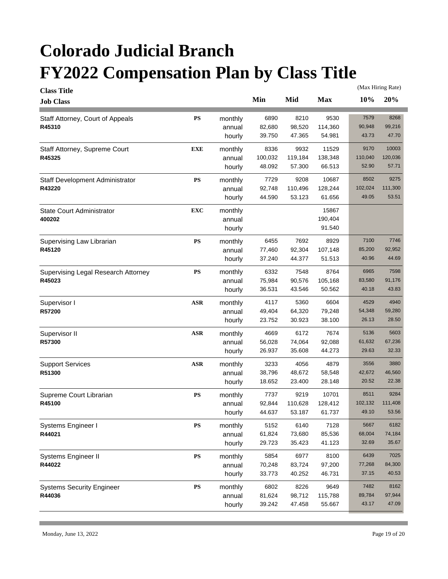| <b>Class Title</b>                  |            |         |         |         | (Max Hiring Rate) |         |         |
|-------------------------------------|------------|---------|---------|---------|-------------------|---------|---------|
| <b>Job Class</b>                    |            |         | Min     | Mid     | <b>Max</b>        | 10%     | 20%     |
| Staff Attorney, Court of Appeals    | <b>PS</b>  | monthly | 6890    | 8210    | 9530              | 7579    | 8268    |
| R45310                              |            | annual  | 82,680  | 98,520  | 114,360           | 90,948  | 99,216  |
|                                     |            | hourly  | 39.750  | 47.365  | 54.981            | 43.73   | 47.70   |
| Staff Attorney, Supreme Court       | EXE        | monthly | 8336    | 9932    | 11529             | 9170    | 10003   |
| R45325                              |            | annual  | 100,032 | 119,184 | 138,348           | 110,040 | 120,036 |
|                                     |            | hourly  | 48.092  | 57.300  | 66.513            | 52.90   | 57.71   |
| Staff Development Administrator     | <b>PS</b>  | monthly | 7729    | 9208    | 10687             | 8502    | 9275    |
| R43220                              |            | annual  | 92,748  | 110,496 | 128,244           | 102,024 | 111,300 |
|                                     |            | hourly  | 44.590  | 53.123  | 61.656            | 49.05   | 53.51   |
| <b>State Court Administrator</b>    | <b>EXC</b> | monthly |         |         | 15867             |         |         |
| 400202                              |            | annual  |         |         | 190,404           |         |         |
|                                     |            | hourly  |         |         | 91.540            |         |         |
| Supervising Law Librarian           | <b>PS</b>  | monthly | 6455    | 7692    | 8929              | 7100    | 7746    |
| R45120                              |            | annual  | 77,460  | 92,304  | 107,148           | 85,200  | 92,952  |
|                                     |            | hourly  | 37.240  | 44.377  | 51.513            | 40.96   | 44.69   |
| Supervising Legal Research Attorney | <b>PS</b>  | monthly | 6332    | 7548    | 8764              | 6965    | 7598    |
| R45023                              |            | annual  | 75,984  | 90,576  | 105,168           | 83,580  | 91,176  |
|                                     |            | hourly  | 36.531  | 43.546  | 50.562            | 40.18   | 43.83   |
| Supervisor I                        | <b>ASR</b> | monthly | 4117    | 5360    | 6604              | 4529    | 4940    |
| R57200                              |            | annual  | 49,404  | 64,320  | 79,248            | 54,348  | 59,280  |
|                                     |            | hourly  | 23.752  | 30.923  | 38.100            | 26.13   | 28.50   |
| Supervisor II                       | <b>ASR</b> | monthly | 4669    | 6172    | 7674              | 5136    | 5603    |
| R57300                              |            | annual  | 56,028  | 74,064  | 92,088            | 61,632  | 67,236  |
|                                     |            | hourly  | 26.937  | 35.608  | 44.273            | 29.63   | 32.33   |
| <b>Support Services</b>             | <b>ASR</b> | monthly | 3233    | 4056    | 4879              | 3556    | 3880    |
| R51300                              |            | annual  | 38,796  | 48,672  | 58,548            | 42,672  | 46,560  |
|                                     |            | hourly  | 18.652  | 23.400  | 28.148            | 20.52   | 22.38   |
| Supreme Court Librarian             | <b>PS</b>  | monthly | 7737    | 9219    | 10701             | 8511    | 9284    |
| R45100                              |            | annual  | 92,844  | 110,628 | 128,412           | 102,132 | 111,408 |
|                                     |            | hourly  | 44.637  | 53.187  | 61.737            | 49.10   | 53.56   |
| Systems Engineer I                  | ${\bf PS}$ | monthly | 5152    | 6140    | 7128              | 5667    | 6182    |
| R44021                              |            | annual  | 61,824  | 73,680  | 85,536            | 68,004  | 74,184  |
|                                     |            | hourly  | 29.723  | 35.423  | 41.123            | 32.69   | 35.67   |
| Systems Engineer II                 | <b>PS</b>  | monthly | 5854    | 6977    | 8100              | 6439    | 7025    |
| R44022                              |            | annual  | 70,248  | 83,724  | 97,200            | 77,268  | 84,300  |
|                                     |            | hourly  | 33.773  | 40.252  | 46.731            | 37.15   | 40.53   |
| <b>Systems Security Engineer</b>    | ${\bf PS}$ | monthly | 6802    | 8226    | 9649              | 7482    | 8162    |
| R44036                              |            | annual  | 81,624  | 98,712  | 115,788           | 89,784  | 97,944  |
|                                     |            | hourly  | 39.242  | 47.458  | 55.667            | 43.17   | 47.09   |